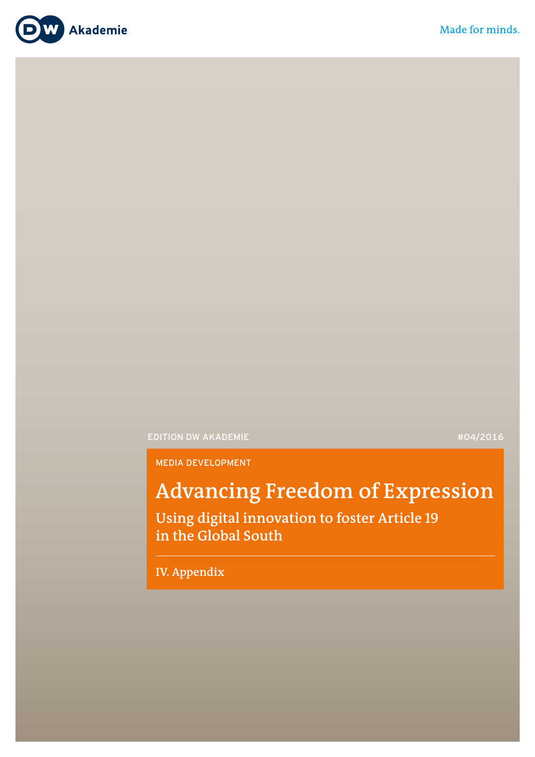

Edition DW Akademie **#**04/2016

MEDIA DEVELOPMENT

# **Advancing Freedom of Expression**

**Using digital innovation to foster Article 19 in the Global South**

**IV. Appendix**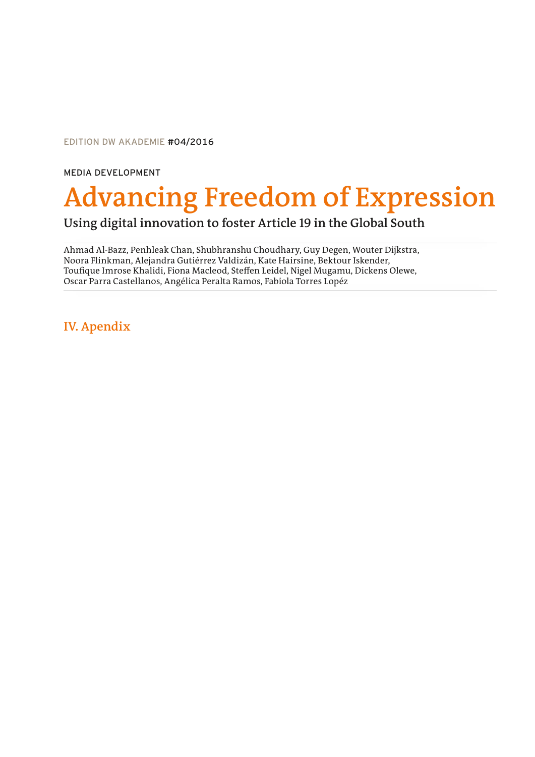Edition DW Akademie **#**04/2016

MEDIA Development

# Advancing Freedom of Expression Using digital innovation to foster Article 19 in the Global South

Ahmad Al-Bazz, Penhleak Chan, Shubhranshu Choudhary, Guy Degen, Wouter Dijkstra, Noora Flinkman, Alejandra Gutiérrez Valdizán, Kate Hairsine, Bektour Iskender, Toufique Imrose Khalidi, Fiona Macleod, Steffen Leidel, Nigel Mugamu, Dickens Olewe, Oscar Parra Castellanos, Angélica Peralta Ramos, Fabiola Torres Lopéz

**IV. Apendix**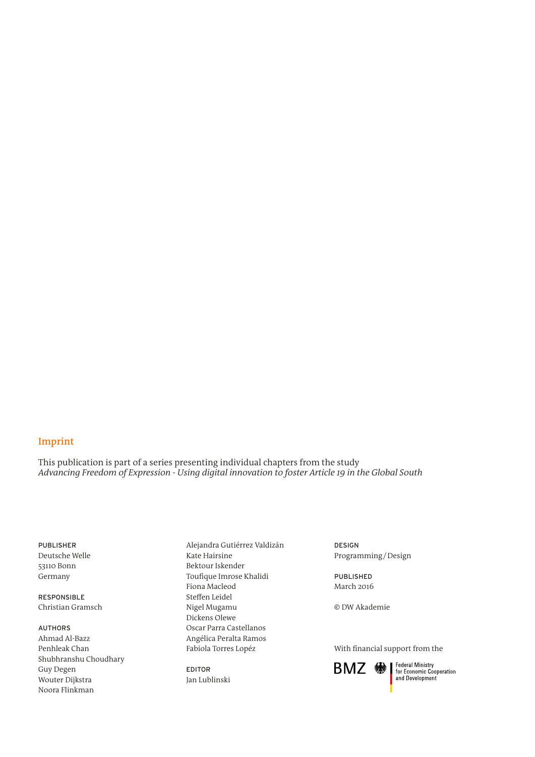# **Imprint**

This publication is part of a series presenting individual chapters from the study *Advancing Freedom of Expression - Using digital innovation to foster Article 19 in the Global South*

PUBLISHER Deutsche Welle 53110 Bonn Germany

RESPONSIBLE Christian Gramsch

#### AUTHORS

Ahmad Al-Bazz Penhleak Chan Shubhranshu Choudhary Guy Degen Wouter Dijkstra Noora Flinkman

Alejandra Gutiérrez Valdizán Kate Hairsine Bektour Iskender Toufique Imrose Khalidi Fiona Macleod Steffen Leidel Nigel Mugamu Dickens Olewe Oscar Parra Castellanos Angélica Peralta Ramos Fabiola Torres Lopéz

EDITOR Jan Lublinski DESIGN Programming/Design

PUBLISHED March 2016

© DW Akademie

With financial support from the



Federal Ministry<br>for Economic Cooperation<br>and Development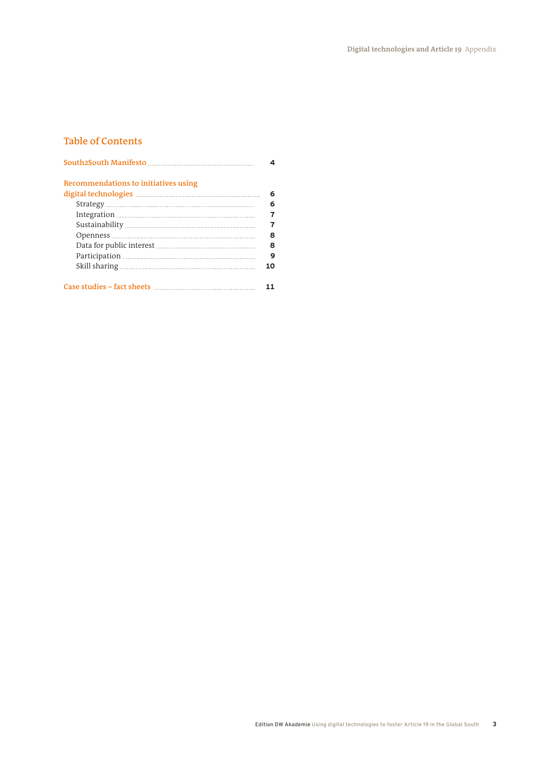# **Table of Contents**

| Recommendations to initiatives using |    |
|--------------------------------------|----|
|                                      | 6  |
|                                      | б  |
|                                      |    |
|                                      |    |
| Openness                             | 8  |
|                                      | 8  |
|                                      | 9  |
|                                      | 10 |
|                                      |    |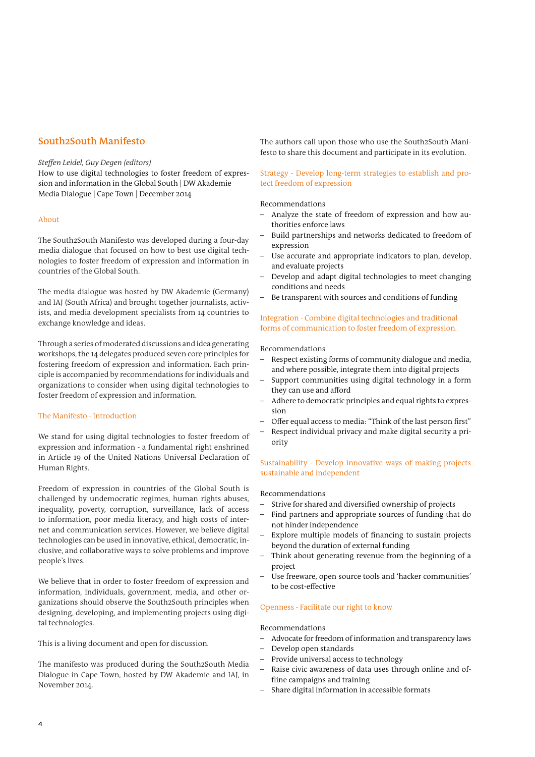# **South2South Manifesto**

#### *Steffen Leidel, Guy Degen (editors)*

How to use digital technologies to foster freedom of expression and information in the Global South | DW Akademie Media Dialogue | Cape Town | December 2014

#### About

The South2South Manifesto was developed during a four-day media dialogue that focused on how to best use digital technologies to foster freedom of expression and information in countries of the Global South.

The media dialogue was hosted by DW Akademie (Germany) and IAJ (South Africa) and brought together journalists, activists, and media development specialists from 14 countries to exchange knowledge and ideas.

Through a series of moderated discussions and idea generating workshops, the 14 delegates produced seven core principles for fostering freedom of expression and information. Each principle is accompanied by recommendations for individuals and organizations to consider when using digital technologies to foster freedom of expression and information.

#### The Manifesto - Introduction

We stand for using digital technologies to foster freedom of expression and information - a fundamental right enshrined in Article 19 of the United Nations Universal Declaration of Human Rights.

Freedom of expression in countries of the Global South is challenged by undemocratic regimes, human rights abuses, inequality, poverty, corruption, surveillance, lack of access to information, poor media literacy, and high costs of internet and communication services. However, we believe digital technologies can be used in innovative, ethical, democratic, inclusive, and collaborative ways to solve problems and improve people's lives.

We believe that in order to foster freedom of expression and information, individuals, government, media, and other organizations should observe the South2South principles when designing, developing, and implementing projects using digital technologies.

This is a living document and open for discussion.

The manifesto was produced during the South2South Media Dialogue in Cape Town, hosted by DW Akademie and IAJ, in November 2014.

The authors call upon those who use the South2South Manifesto to share this document and participate in its evolution.

#### Strategy - Develop long-term strategies to establish and protect freedom of expression

#### Recommendations

- Analyze the state of freedom of expression and how authorities enforce laws
- Build partnerships and networks dedicated to freedom of expression
- Use accurate and appropriate indicators to plan, develop, and evaluate projects
- Develop and adapt digital technologies to meet changing conditions and needs
- Be transparent with sources and conditions of funding

#### Integration - Combine digital technologies and traditional forms of communication to foster freedom of expression.

#### Recommendations

- Respect existing forms of community dialogue and media, and where possible, integrate them into digital projects
- Support communities using digital technology in a form they can use and afford
- Adhere to democratic principles and equal rights to expression
- Offer equal access to media: "Think of the last person first"
- Respect individual privacy and make digital security a priority

#### Sustainability - Develop innovative ways of making projects sustainable and independent

#### Recommendations

- Strive for shared and diversified ownership of projects
- Find partners and appropriate sources of funding that do not hinder independence
- Explore multiple models of financing to sustain projects beyond the duration of external funding
- Think about generating revenue from the beginning of a project
- Use freeware, open source tools and 'hacker communities' to be cost-effective

#### Openness - Facilitate our right to know

#### Recommendations

- Advocate for freedom of information and transparency laws
- Develop open standards
- Provide universal access to technology
- Raise civic awareness of data uses through online and offline campaigns and training
- Share digital information in accessible formats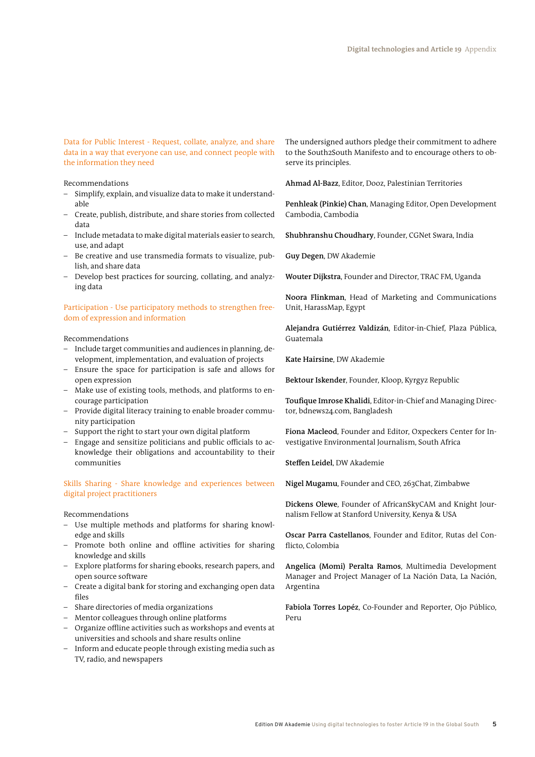Data for Public Interest - Request, collate, analyze, and share data in a way that everyone can use, and connect people with the information they need

Recommendations

- Simplify, explain, and visualize data to make it understandable
- Create, publish, distribute, and share stories from collected data
- Include metadata to make digital materials easier to search, use, and adapt
- Be creative and use transmedia formats to visualize, publish, and share data
- Develop best practices for sourcing, collating, and analyzing data

#### Participation - Use participatory methods to strengthen freedom of expression and information

#### Recommendations

- Include target communities and audiences in planning, development, implementation, and evaluation of projects
- Ensure the space for participation is safe and allows for open expression
- Make use of existing tools, methods, and platforms to encourage participation
- Provide digital literacy training to enable broader community participation
- Support the right to start your own digital platform
- Engage and sensitize politicians and public officials to acknowledge their obligations and accountability to their communities

#### Skills Sharing - Share knowledge and experiences between digital project practitioners

Recommendations

- Use multiple methods and platforms for sharing knowledge and skills
- Promote both online and offline activities for sharing knowledge and skills
- Explore platforms for sharing ebooks, research papers, and open source software
- Create a digital bank for storing and exchanging open data files
- Share directories of media organizations
- Mentor colleagues through online platforms
- Organize offline activities such as workshops and events at universities and schools and share results online
- Inform and educate people through existing media such as TV, radio, and newspapers

The undersigned authors pledge their commitment to adhere to the South2South Manifesto and to encourage others to observe its principles.

**Ahmad Al-Bazz**, Editor, Dooz, Palestinian Territories

**Penhleak (Pinkie) Chan**, Managing Editor, Open Development Cambodia, Cambodia

**Shubhranshu Choudhary**, Founder, CGNet Swara, India

**Guy Degen**, DW Akademie

**Wouter Dijkstra**, Founder and Director, TRAC FM, Uganda

**Noora Flinkman**, Head of Marketing and Communications Unit, HarassMap, Egypt

**Alejandra Gutiérrez Valdizán**, Editor-in-Chief, Plaza Pública, Guatemala

**Kate Hairsine**, DW Akademie

**Bektour Iskender**, Founder, Kloop, Kyrgyz Republic

**Toufique Imrose Khalidi**, Editor-in-Chief and Managing Director, bdnews24.com, Bangladesh

**Fiona Macleod**, Founder and Editor, Oxpeckers Center for Investigative Environmental Journalism, South Africa

**Steffen Leidel**, DW Akademie

**Nigel Mugamu**, Founder and CEO, 263Chat, Zimbabwe

**Dickens Olewe**, Founder of AfricanSkyCAM and Knight Journalism Fellow at Stanford University, Kenya & USA

**Oscar Parra Castellanos**, Founder and Editor, Rutas del Conflicto, Colombia

**Angelica (Momi) Peralta Ramos**, Multimedia Development Manager and Project Manager of La Nación Data, La Nación, Argentina

**Fabiola Torres Lopéz**, Co-Founder and Reporter, Ojo Público, Peru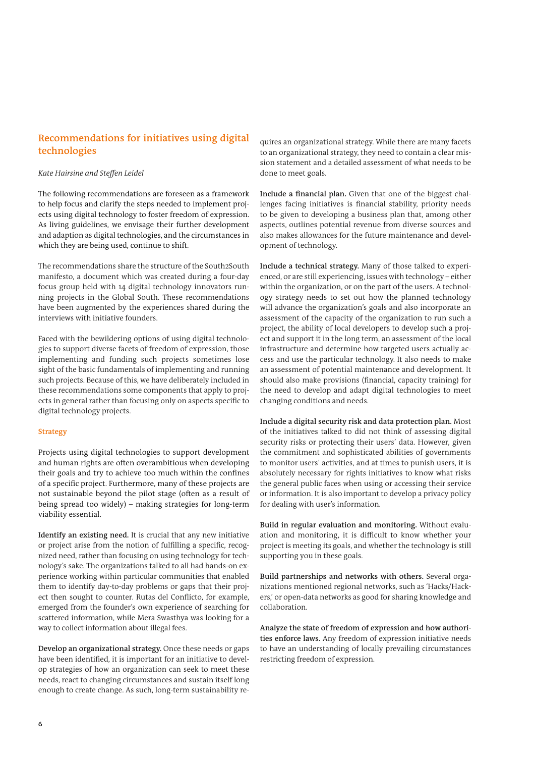# **Recommendations for initiatives using digital technologies**

#### *Kate Hairsine and Steffen Leidel*

The following recommendations are foreseen as a framework to help focus and clarify the steps needed to implement projects using digital technology to foster freedom of expression. As living guidelines, we envisage their further development and adaption as digital technologies, and the circumstances in which they are being used, continue to shift.

The recommendations share the structure of the South2South manifesto, a document which was created during a four-day focus group held with 14 digital technology innovators running projects in the Global South. These recommendations have been augmented by the experiences shared during the interviews with initiative founders.

Faced with the bewildering options of using digital technologies to support diverse facets of freedom of expression, those implementing and funding such projects sometimes lose sight of the basic fundamentals of implementing and running such projects. Because of this, we have deliberately included in these recommendations some components that apply to projects in general rather than focusing only on aspects specific to digital technology projects.

#### **Strategy**

Projects using digital technologies to support development and human rights are often overambitious when developing their goals and try to achieve too much within the confines of a specific project. Furthermore, many of these projects are not sustainable beyond the pilot stage (often as a result of being spread too widely) – making strategies for long-term viability essential.

**Identify an existing need.** It is crucial that any new initiative or project arise from the notion of fulfilling a specific, recognized need, rather than focusing on using technology for technology's sake. The organizations talked to all had hands-on experience working within particular communities that enabled them to identify day-to-day problems or gaps that their project then sought to counter. Rutas del Conflicto, for example, emerged from the founder's own experience of searching for scattered information, while Mera Swasthya was looking for a way to collect information about illegal fees.

**Develop an organizational strategy.** Once these needs or gaps have been identified, it is important for an initiative to develop strategies of how an organization can seek to meet these needs, react to changing circumstances and sustain itself long enough to create change. As such, long-term sustainability requires an organizational strategy. While there are many facets to an organizational strategy, they need to contain a clear mission statement and a detailed assessment of what needs to be done to meet goals.

**Include a financial plan.** Given that one of the biggest challenges facing initiatives is financial stability, priority needs to be given to developing a business plan that, among other aspects, outlines potential revenue from diverse sources and also makes allowances for the future maintenance and development of technology.

**Include a technical strategy.** Many of those talked to experienced, or are still experiencing, issues with technology – either within the organization, or on the part of the users. A technology strategy needs to set out how the planned technology will advance the organization's goals and also incorporate an assessment of the capacity of the organization to run such a project, the ability of local developers to develop such a project and support it in the long term, an assessment of the local infrastructure and determine how targeted users actually access and use the particular technology. It also needs to make an assessment of potential maintenance and development. It should also make provisions (financial, capacity training) for the need to develop and adapt digital technologies to meet changing conditions and needs.

**Include a digital security risk and data protection plan.** Most of the initiatives talked to did not think of assessing digital security risks or protecting their users' data. However, given the commitment and sophisticated abilities of governments to monitor users' activities, and at times to punish users, it is absolutely necessary for rights initiatives to know what risks the general public faces when using or accessing their service or information. It is also important to develop a privacy policy for dealing with user's information.

**Build in regular evaluation and monitoring.** Without evaluation and monitoring, it is difficult to know whether your project is meeting its goals, and whether the technology is still supporting you in these goals.

**Build partnerships and networks with others.** Several organizations mentioned regional networks, such as 'Hacks/Hackers,' or open-data networks as good for sharing knowledge and collaboration.

**Analyze the state of freedom of expression and how authorities enforce laws.** Any freedom of expression initiative needs to have an understanding of locally prevailing circumstances restricting freedom of expression.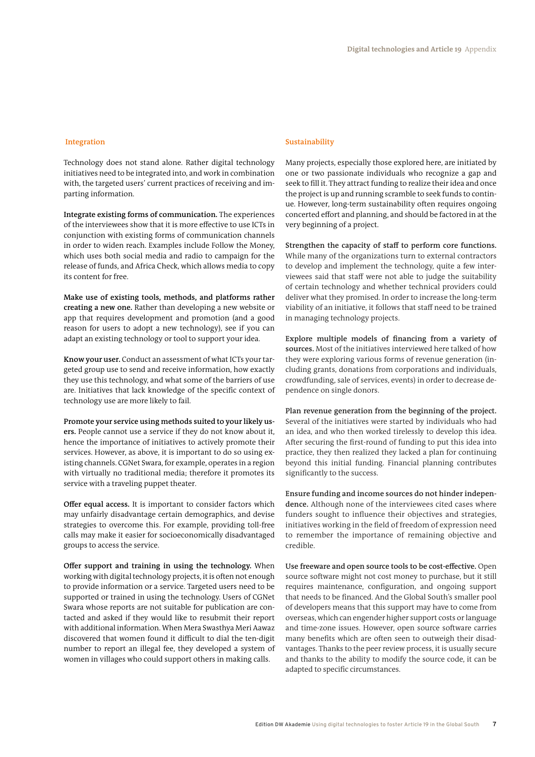#### **Integration**

Technology does not stand alone. Rather digital technology initiatives need to be integrated into, and work in combination with, the targeted users' current practices of receiving and imparting information.

**Integrate existing forms of communication.** The experiences of the interviewees show that it is more effective to use ICTs in conjunction with existing forms of communication channels in order to widen reach. Examples include Follow the Money, which uses both social media and radio to campaign for the release of funds, and Africa Check, which allows media to copy its content for free.

**Make use of existing tools, methods, and platforms rather creating a new one.** Rather than developing a new website or app that requires development and promotion (and a good reason for users to adopt a new technology), see if you can adapt an existing technology or tool to support your idea.

**Know your user.** Conduct an assessment of what ICTs your targeted group use to send and receive information, how exactly they use this technology, and what some of the barriers of use are. Initiatives that lack knowledge of the specific context of technology use are more likely to fail.

**Promote your service using methods suited to your likely users.** People cannot use a service if they do not know about it, hence the importance of initiatives to actively promote their services. However, as above, it is important to do so using existing channels. CGNet Swara, for example, operates in a region with virtually no traditional media; therefore it promotes its service with a traveling puppet theater.

**Offer equal access.** It is important to consider factors which may unfairly disadvantage certain demographics, and devise strategies to overcome this. For example, providing toll-free calls may make it easier for socioeconomically disadvantaged groups to access the service.

**Offer support and training in using the technology.** When working with digital technology projects, it is often not enough to provide information or a service. Targeted users need to be supported or trained in using the technology. Users of CGNet Swara whose reports are not suitable for publication are contacted and asked if they would like to resubmit their report with additional information. When Mera Swasthya Meri Aawaz discovered that women found it difficult to dial the ten-digit number to report an illegal fee, they developed a system of women in villages who could support others in making calls.

#### **Sustainability**

Many projects, especially those explored here, are initiated by one or two passionate individuals who recognize a gap and seek to fill it. They attract funding to realize their idea and once the project is up and running scramble to seek funds to continue. However, long-term sustainability often requires ongoing concerted effort and planning, and should be factored in at the very beginning of a project.

**Strengthen the capacity of staff to perform core functions.**  While many of the organizations turn to external contractors to develop and implement the technology, quite a few interviewees said that staff were not able to judge the suitability of certain technology and whether technical providers could deliver what they promised. In order to increase the long-term viability of an initiative, it follows that staff need to be trained in managing technology projects.

**Explore multiple models of financing from a variety of sources.** Most of the initiatives interviewed here talked of how they were exploring various forms of revenue generation (including grants, donations from corporations and individuals, crowdfunding, sale of services, events) in order to decrease dependence on single donors.

**Plan revenue generation from the beginning of the project.** Several of the initiatives were started by individuals who had an idea, and who then worked tirelessly to develop this idea. After securing the first-round of funding to put this idea into practice, they then realized they lacked a plan for continuing beyond this initial funding. Financial planning contributes significantly to the success.

**Ensure funding and income sources do not hinder independence.** Although none of the interviewees cited cases where funders sought to influence their objectives and strategies, initiatives working in the field of freedom of expression need to remember the importance of remaining objective and credible.

**Use freeware and open source tools to be cost-effective.** Open source software might not cost money to purchase, but it still requires maintenance, configuration, and ongoing support that needs to be financed. And the Global South's smaller pool of developers means that this support may have to come from overseas, which can engender higher support costs or language and time-zone issues. However, open source software carries many benefits which are often seen to outweigh their disadvantages. Thanks to the peer review process, it is usually secure and thanks to the ability to modify the source code, it can be adapted to specific circumstances.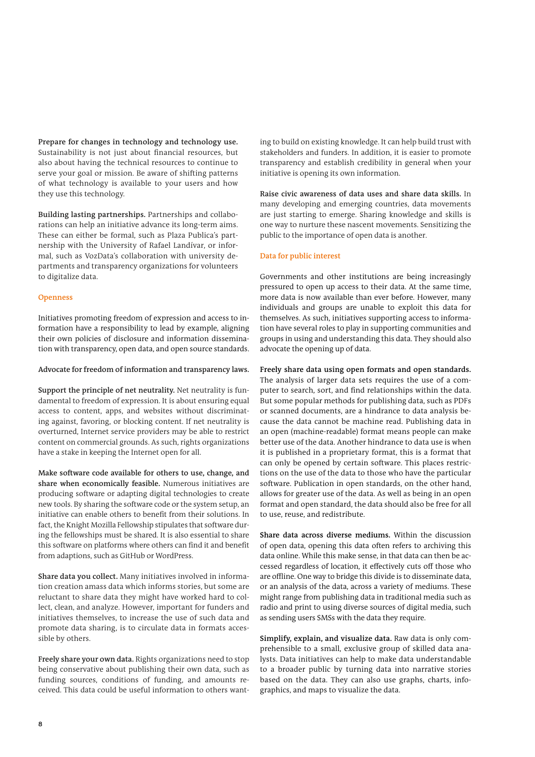**Prepare for changes in technology and technology use.**  Sustainability is not just about financial resources, but also about having the technical resources to continue to serve your goal or mission. Be aware of shifting patterns of what technology is available to your users and how they use this technology.

**Building lasting partnerships.** Partnerships and collaborations can help an initiative advance its long-term aims. These can either be formal, such as Plaza Publica's partnership with the University of Rafael Landívar, or informal, such as VozData's collaboration with university departments and transparency organizations for volunteers to digitalize data.

#### **Openness**

Initiatives promoting freedom of expression and access to information have a responsibility to lead by example, aligning their own policies of disclosure and information dissemination with transparency, open data, and open source standards.

#### **Advocate for freedom of information and transparency laws.**

**Support the principle of net neutrality.** Net neutrality is fundamental to freedom of expression. It is about ensuring equal access to content, apps, and websites without discriminating against, favoring, or blocking content. If net neutrality is overturned, Internet service providers may be able to restrict content on commercial grounds. As such, rights organizations have a stake in keeping the Internet open for all.

**Make software code available for others to use, change, and share when economically feasible.** Numerous initiatives are producing software or adapting digital technologies to create new tools. By sharing the software code or the system setup, an initiative can enable others to benefit from their solutions. In fact, the Knight Mozilla Fellowship stipulates that software during the fellowships must be shared. It is also essential to share this software on platforms where others can find it and benefit from adaptions, such as GitHub or WordPress.

**Share data you collect.** Many initiatives involved in information creation amass data which informs stories, but some are reluctant to share data they might have worked hard to collect, clean, and analyze. However, important for funders and initiatives themselves, to increase the use of such data and promote data sharing, is to circulate data in formats accessible by others.

**Freely share your own data.** Rights organizations need to stop being conservative about publishing their own data, such as funding sources, conditions of funding, and amounts received. This data could be useful information to others wanting to build on existing knowledge. It can help build trust with stakeholders and funders. In addition, it is easier to promote transparency and establish credibility in general when your initiative is opening its own information.

**Raise civic awareness of data uses and share data skills.** In many developing and emerging countries, data movements are just starting to emerge. Sharing knowledge and skills is one way to nurture these nascent movements. Sensitizing the public to the importance of open data is another.

#### **Data for public interest**

Governments and other institutions are being increasingly pressured to open up access to their data. At the same time, more data is now available than ever before. However, many individuals and groups are unable to exploit this data for themselves. As such, initiatives supporting access to information have several roles to play in supporting communities and groups in using and understanding this data. They should also advocate the opening up of data.

**Freely share data using open formats and open standards.** The analysis of larger data sets requires the use of a computer to search, sort, and find relationships within the data. But some popular methods for publishing data, such as PDFs or scanned documents, are a hindrance to data analysis because the data cannot be machine read. Publishing data in an open (machine-readable) format means people can make better use of the data. Another hindrance to data use is when it is published in a proprietary format, this is a format that can only be opened by certain software. This places restrictions on the use of the data to those who have the particular software. Publication in open standards, on the other hand, allows for greater use of the data. As well as being in an open format and open standard, the data should also be free for all to use, reuse, and redistribute.

**Share data across diverse mediums.** Within the discussion of open data, opening this data often refers to archiving this data online. While this make sense, in that data can then be accessed regardless of location, it effectively cuts off those who are offline. One way to bridge this divide is to disseminate data, or an analysis of the data, across a variety of mediums. These might range from publishing data in traditional media such as radio and print to using diverse sources of digital media, such as sending users SMSs with the data they require.

**Simplify, explain, and visualize data.** Raw data is only comprehensible to a small, exclusive group of skilled data analysts. Data initiatives can help to make data understandable to a broader public by turning data into narrative stories based on the data. They can also use graphs, charts, infographics, and maps to visualize the data.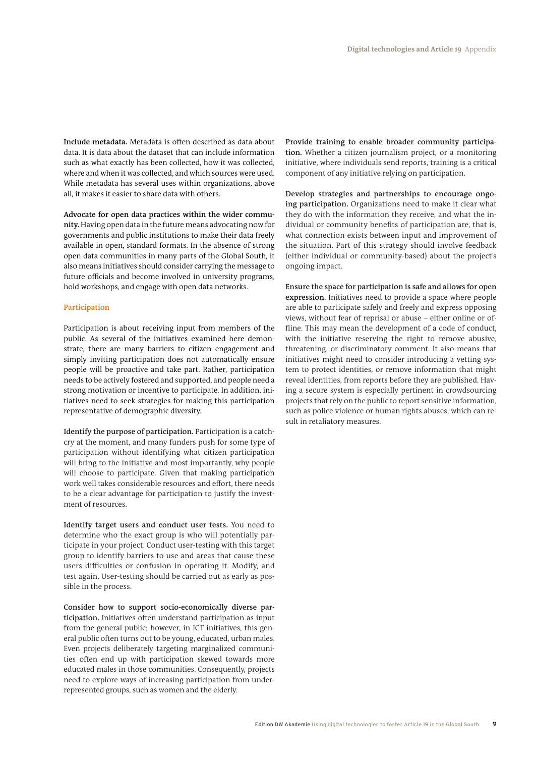**Include metadata.** Metadata is often described as data about data. It is data about the dataset that can include information such as what exactly has been collected, how it was collected, where and when it was collected, and which sources were used. While metadata has several uses within organizations, above all, it makes it easier to share data with others.

**Advocate for open data practices within the wider community.** Having open data in the future means advocating now for governments and public institutions to make their data freely available in open, standard formats. In the absence of strong open data communities in many parts of the Global South, it also means initiatives should consider carrying the message to future officials and become involved in university programs, hold workshops, and engage with open data networks.

#### **Participation**

Participation is about receiving input from members of the public. As several of the initiatives examined here demonstrate, there are many barriers to citizen engagement and simply inviting participation does not automatically ensure people will be proactive and take part. Rather, participation needs to be actively fostered and supported, and people need a strong motivation or incentive to participate. In addition, initiatives need to seek strategies for making this participation representative of demographic diversity.

**Identify the purpose of participation.** Participation is a catchcry at the moment, and many funders push for some type of participation without identifying what citizen participation will bring to the initiative and most importantly, why people will choose to participate. Given that making participation work well takes considerable resources and effort, there needs to be a clear advantage for participation to justify the investment of resources.

**Identify target users and conduct user tests.** You need to determine who the exact group is who will potentially participate in your project. Conduct user-testing with this target group to identify barriers to use and areas that cause these users difficulties or confusion in operating it. Modify, and test again. User-testing should be carried out as early as possible in the process.

**Consider how to support socio-economically diverse participation.** Initiatives often understand participation as input from the general public; however, in ICT initiatives, this general public often turns out to be young, educated, urban males. Even projects deliberately targeting marginalized communities often end up with participation skewed towards more educated males in those communities. Consequently, projects need to explore ways of increasing participation from underrepresented groups, such as women and the elderly.

**Provide training to enable broader community participation.** Whether a citizen journalism project, or a monitoring initiative, where individuals send reports, training is a critical component of any initiative relying on participation.

**Develop strategies and partnerships to encourage ongoing participation.** Organizations need to make it clear what they do with the information they receive, and what the individual or community benefits of participation are, that is, what connection exists between input and improvement of the situation. Part of this strategy should involve feedback (either individual or community-based) about the project's ongoing impact.

**Ensure the space for participation is safe and allows for open expression.** Initiatives need to provide a space where people are able to participate safely and freely and express opposing views, without fear of reprisal or abuse – either online or offline. This may mean the development of a code of conduct, with the initiative reserving the right to remove abusive, threatening, or discriminatory comment. It also means that initiatives might need to consider introducing a vetting system to protect identities, or remove information that might reveal identities, from reports before they are published. Having a secure system is especially pertinent in crowdsourcing projects that rely on the public to report sensitive information, such as police violence or human rights abuses, which can result in retaliatory measures.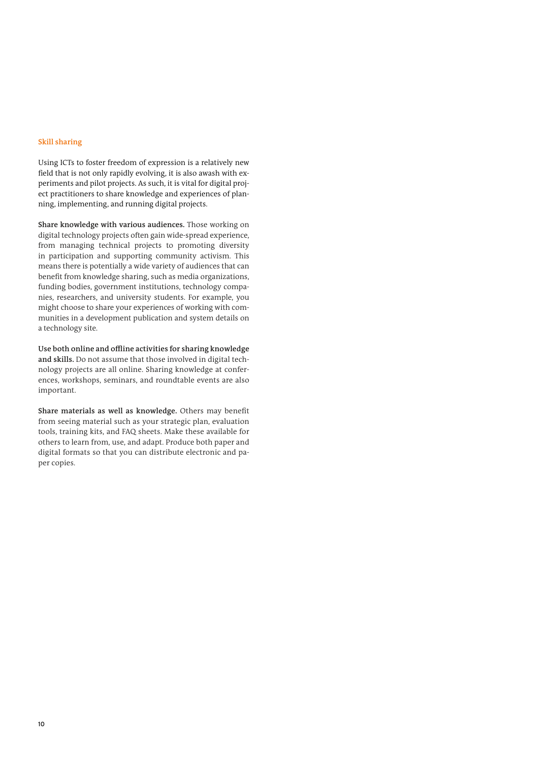#### **Skill sharing**

Using ICTs to foster freedom of expression is a relatively new field that is not only rapidly evolving, it is also awash with experiments and pilot projects. As such, it is vital for digital project practitioners to share knowledge and experiences of planning, implementing, and running digital projects.

**Share knowledge with various audiences.** Those working on digital technology projects often gain wide-spread experience, from managing technical projects to promoting diversity in participation and supporting community activism. This means there is potentially a wide variety of audiences that can benefit from knowledge sharing, such as media organizations, funding bodies, government institutions, technology companies, researchers, and university students. For example, you might choose to share your experiences of working with communities in a development publication and system details on a technology site.

**Use both online and offline activities for sharing knowledge and skills.** Do not assume that those involved in digital technology projects are all online. Sharing knowledge at conferences, workshops, seminars, and roundtable events are also important.

**Share materials as well as knowledge.** Others may benefit from seeing material such as your strategic plan, evaluation tools, training kits, and FAQ sheets. Make these available for others to learn from, use, and adapt. Produce both paper and digital formats so that you can distribute electronic and paper copies.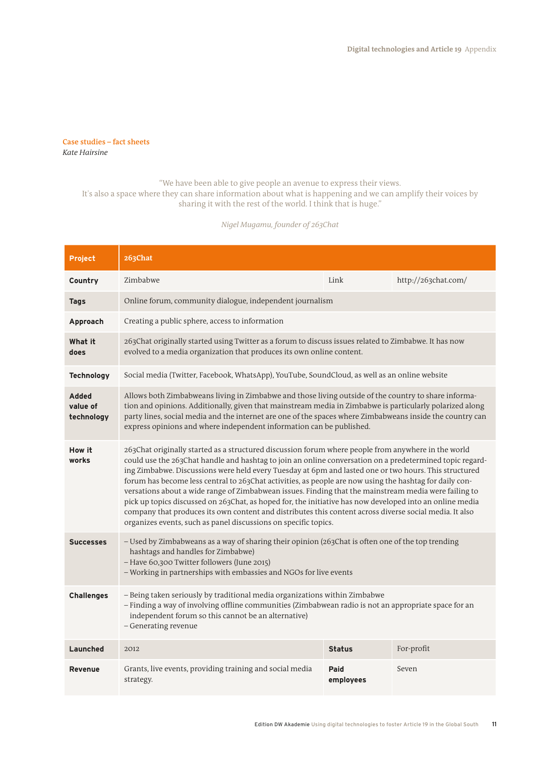#### **Case studies – fact sheets** *Kate Hairsine*

# "We have been able to give people an avenue to express their views. It's also a space where they can share information about what is happening and we can amplify their voices by sharing it with the rest of the world. I think that is huge."

#### *Nigel Mugamu, founder of 263Chat*

| <b>Project</b>                  | 263Chat                                                                                                                                                                                                                                                                                                                                                                                                                                                                                                                                                                                                                                                                                                                                                                                                                                |                   |                     |
|---------------------------------|----------------------------------------------------------------------------------------------------------------------------------------------------------------------------------------------------------------------------------------------------------------------------------------------------------------------------------------------------------------------------------------------------------------------------------------------------------------------------------------------------------------------------------------------------------------------------------------------------------------------------------------------------------------------------------------------------------------------------------------------------------------------------------------------------------------------------------------|-------------------|---------------------|
| Country                         | Zimbabwe                                                                                                                                                                                                                                                                                                                                                                                                                                                                                                                                                                                                                                                                                                                                                                                                                               | Link              | http://263chat.com/ |
| <b>Tags</b>                     | Online forum, community dialogue, independent journalism                                                                                                                                                                                                                                                                                                                                                                                                                                                                                                                                                                                                                                                                                                                                                                               |                   |                     |
| Approach                        | Creating a public sphere, access to information                                                                                                                                                                                                                                                                                                                                                                                                                                                                                                                                                                                                                                                                                                                                                                                        |                   |                     |
| What it<br>does                 | 263Chat originally started using Twitter as a forum to discuss issues related to Zimbabwe. It has now<br>evolved to a media organization that produces its own online content.                                                                                                                                                                                                                                                                                                                                                                                                                                                                                                                                                                                                                                                         |                   |                     |
| <b>Technology</b>               | Social media (Twitter, Facebook, WhatsApp), YouTube, SoundCloud, as well as an online website                                                                                                                                                                                                                                                                                                                                                                                                                                                                                                                                                                                                                                                                                                                                          |                   |                     |
| Added<br>value of<br>technology | Allows both Zimbabweans living in Zimbabwe and those living outside of the country to share informa-<br>tion and opinions. Additionally, given that mainstream media in Zimbabwe is particularly polarized along<br>party lines, social media and the internet are one of the spaces where Zimbabweans inside the country can<br>express opinions and where independent information can be published.                                                                                                                                                                                                                                                                                                                                                                                                                                  |                   |                     |
| How it<br>works                 | 263Chat originally started as a structured discussion forum where people from anywhere in the world<br>could use the 263Chat handle and hashtag to join an online conversation on a predetermined topic regard-<br>ing Zimbabwe. Discussions were held every Tuesday at 6pm and lasted one or two hours. This structured<br>forum has become less central to 263Chat activities, as people are now using the hashtag for daily con-<br>versations about a wide range of Zimbabwean issues. Finding that the mainstream media were failing to<br>pick up topics discussed on 263Chat, as hoped for, the initiative has now developed into an online media<br>company that produces its own content and distributes this content across diverse social media. It also<br>organizes events, such as panel discussions on specific topics. |                   |                     |
| <b>Successes</b>                | - Used by Zimbabweans as a way of sharing their opinion (263Chat is often one of the top trending<br>hashtags and handles for Zimbabwe)<br>- Have 60,300 Twitter followers (June 2015)<br>- Working in partnerships with embassies and NGOs for live events                                                                                                                                                                                                                                                                                                                                                                                                                                                                                                                                                                            |                   |                     |
| <b>Challenges</b>               | - Being taken seriously by traditional media organizations within Zimbabwe<br>- Finding a way of involving offline communities (Zimbabwean radio is not an appropriate space for an<br>independent forum so this cannot be an alternative)<br>- Generating revenue                                                                                                                                                                                                                                                                                                                                                                                                                                                                                                                                                                     |                   |                     |
| <b>Launched</b>                 | 2012                                                                                                                                                                                                                                                                                                                                                                                                                                                                                                                                                                                                                                                                                                                                                                                                                                   | <b>Status</b>     | For-profit          |
| Revenue                         | Grants, live events, providing training and social media<br>strategy.                                                                                                                                                                                                                                                                                                                                                                                                                                                                                                                                                                                                                                                                                                                                                                  | Paid<br>employees | Seven               |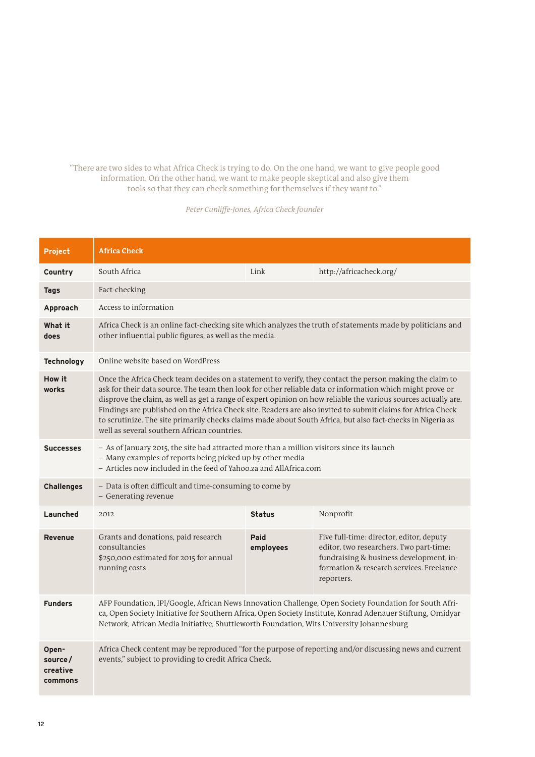"There are two sides to what Africa Check is trying to do. On the one hand, we want to give people good information. On the other hand, we want to make people skeptical and also give them tools so that they can check something for themselves if they want to."

# *Peter Cunliffe-Jones, Africa Check founder*

| <b>Project</b>                          | <b>Africa Check</b>                                                                                                                                                                                                                                                                                                                                                                                                                                                                                                                                                                                                  |                   |                                                                                                                                                                                          |
|-----------------------------------------|----------------------------------------------------------------------------------------------------------------------------------------------------------------------------------------------------------------------------------------------------------------------------------------------------------------------------------------------------------------------------------------------------------------------------------------------------------------------------------------------------------------------------------------------------------------------------------------------------------------------|-------------------|------------------------------------------------------------------------------------------------------------------------------------------------------------------------------------------|
| Country                                 | South Africa                                                                                                                                                                                                                                                                                                                                                                                                                                                                                                                                                                                                         | Link              | http://africacheck.org/                                                                                                                                                                  |
| <b>Tags</b>                             | Fact-checking                                                                                                                                                                                                                                                                                                                                                                                                                                                                                                                                                                                                        |                   |                                                                                                                                                                                          |
| Approach                                | Access to information                                                                                                                                                                                                                                                                                                                                                                                                                                                                                                                                                                                                |                   |                                                                                                                                                                                          |
| What it<br>does                         | other influential public figures, as well as the media.                                                                                                                                                                                                                                                                                                                                                                                                                                                                                                                                                              |                   | Africa Check is an online fact-checking site which analyzes the truth of statements made by politicians and                                                                              |
| <b>Technology</b>                       | Online website based on WordPress                                                                                                                                                                                                                                                                                                                                                                                                                                                                                                                                                                                    |                   |                                                                                                                                                                                          |
| How it<br>works                         | Once the Africa Check team decides on a statement to verify, they contact the person making the claim to<br>ask for their data source. The team then look for other reliable data or information which might prove or<br>disprove the claim, as well as get a range of expert opinion on how reliable the various sources actually are.<br>Findings are published on the Africa Check site. Readers are also invited to submit claims for Africa Check<br>to scrutinize. The site primarily checks claims made about South Africa, but also fact-checks in Nigeria as<br>well as several southern African countries. |                   |                                                                                                                                                                                          |
| <b>Successes</b>                        | - As of January 2015, the site had attracted more than a million visitors since its launch<br>- Many examples of reports being picked up by other media<br>- Articles now included in the feed of Yahoo.za and AllAfrica.com                                                                                                                                                                                                                                                                                                                                                                                         |                   |                                                                                                                                                                                          |
| <b>Challenges</b>                       | - Data is often difficult and time-consuming to come by<br>- Generating revenue                                                                                                                                                                                                                                                                                                                                                                                                                                                                                                                                      |                   |                                                                                                                                                                                          |
| Launched                                | 2012                                                                                                                                                                                                                                                                                                                                                                                                                                                                                                                                                                                                                 | <b>Status</b>     | Nonprofit                                                                                                                                                                                |
| <b>Revenue</b>                          | Grants and donations, paid research<br>consultancies<br>\$250,000 estimated for 2015 for annual<br>running costs                                                                                                                                                                                                                                                                                                                                                                                                                                                                                                     | Paid<br>employees | Five full-time: director, editor, deputy<br>editor, two researchers. Two part-time:<br>fundraising & business development, in-<br>formation & research services. Freelance<br>reporters. |
| <b>Funders</b>                          | AFP Foundation, IPI/Google, African News Innovation Challenge, Open Society Foundation for South Afri-<br>ca, Open Society Initiative for Southern Africa, Open Society Institute, Konrad Adenauer Stiftung, Omidyar<br>Network, African Media Initiative, Shuttleworth Foundation, Wits University Johannesburg                                                                                                                                                                                                                                                                                                     |                   |                                                                                                                                                                                          |
| Open-<br>source/<br>creative<br>commons | Africa Check content may be reproduced "for the purpose of reporting and/or discussing news and current<br>events," subject to providing to credit Africa Check.                                                                                                                                                                                                                                                                                                                                                                                                                                                     |                   |                                                                                                                                                                                          |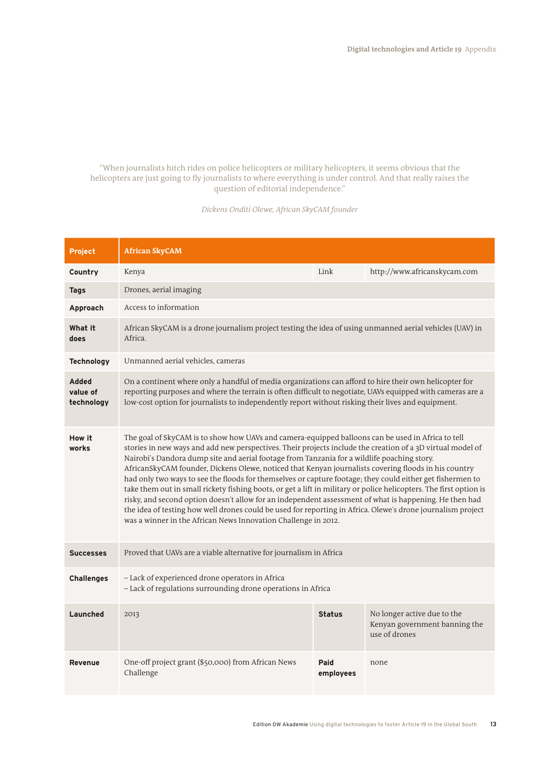"When journalists hitch rides on police helicopters or military helicopters, it seems obvious that the helicopters are just going to fly journalists to where everything is under control. And that really raises the question of editorial independence."

#### *Dickens Onditi Olewe, African SkyCAM founder*

| Project                         | <b>African SkyCAM</b>                                                                                                                                                                                                                                                                                                                                                                                                                                                                                                                                                                                                                                                                                                                                                                                                                                                                                                                                |                   |                                                                               |
|---------------------------------|------------------------------------------------------------------------------------------------------------------------------------------------------------------------------------------------------------------------------------------------------------------------------------------------------------------------------------------------------------------------------------------------------------------------------------------------------------------------------------------------------------------------------------------------------------------------------------------------------------------------------------------------------------------------------------------------------------------------------------------------------------------------------------------------------------------------------------------------------------------------------------------------------------------------------------------------------|-------------------|-------------------------------------------------------------------------------|
| Country                         | Kenya                                                                                                                                                                                                                                                                                                                                                                                                                                                                                                                                                                                                                                                                                                                                                                                                                                                                                                                                                | Link              | http://www.africanskycam.com                                                  |
| <b>Tags</b>                     | Drones, aerial imaging                                                                                                                                                                                                                                                                                                                                                                                                                                                                                                                                                                                                                                                                                                                                                                                                                                                                                                                               |                   |                                                                               |
| Approach                        | Access to information                                                                                                                                                                                                                                                                                                                                                                                                                                                                                                                                                                                                                                                                                                                                                                                                                                                                                                                                |                   |                                                                               |
| What it<br>does                 | African SkyCAM is a drone journalism project testing the idea of using unmanned aerial vehicles (UAV) in<br>Africa.                                                                                                                                                                                                                                                                                                                                                                                                                                                                                                                                                                                                                                                                                                                                                                                                                                  |                   |                                                                               |
| <b>Technology</b>               | Unmanned aerial vehicles, cameras                                                                                                                                                                                                                                                                                                                                                                                                                                                                                                                                                                                                                                                                                                                                                                                                                                                                                                                    |                   |                                                                               |
| Added<br>value of<br>technology | On a continent where only a handful of media organizations can afford to hire their own helicopter for<br>reporting purposes and where the terrain is often difficult to negotiate, UAVs equipped with cameras are a<br>low-cost option for journalists to independently report without risking their lives and equipment.                                                                                                                                                                                                                                                                                                                                                                                                                                                                                                                                                                                                                           |                   |                                                                               |
| How it<br>works                 | The goal of SkyCAM is to show how UAVs and camera-equipped balloons can be used in Africa to tell<br>stories in new ways and add new perspectives. Their projects include the creation of a 3D virtual model of<br>Nairobi's Dandora dump site and aerial footage from Tanzania for a wildlife poaching story.<br>AfricanSkyCAM founder, Dickens Olewe, noticed that Kenyan journalists covering floods in his country<br>had only two ways to see the floods for themselves or capture footage; they could either get fishermen to<br>take them out in small rickety fishing boots, or get a lift in military or police helicopters. The first option is<br>risky, and second option doesn't allow for an independent assessment of what is happening. He then had<br>the idea of testing how well drones could be used for reporting in Africa. Olewe's drone journalism project<br>was a winner in the African News Innovation Challenge in 2012. |                   |                                                                               |
| <b>Successes</b>                | Proved that UAVs are a viable alternative for journalism in Africa                                                                                                                                                                                                                                                                                                                                                                                                                                                                                                                                                                                                                                                                                                                                                                                                                                                                                   |                   |                                                                               |
| <b>Challenges</b>               | - Lack of experienced drone operators in Africa<br>- Lack of regulations surrounding drone operations in Africa                                                                                                                                                                                                                                                                                                                                                                                                                                                                                                                                                                                                                                                                                                                                                                                                                                      |                   |                                                                               |
| <b>Launched</b>                 | 2013                                                                                                                                                                                                                                                                                                                                                                                                                                                                                                                                                                                                                                                                                                                                                                                                                                                                                                                                                 | <b>Status</b>     | No longer active due to the<br>Kenyan government banning the<br>use of drones |
| <b>Revenue</b>                  | One-off project grant (\$50,000) from African News<br>Challenge                                                                                                                                                                                                                                                                                                                                                                                                                                                                                                                                                                                                                                                                                                                                                                                                                                                                                      | Paid<br>employees | none                                                                          |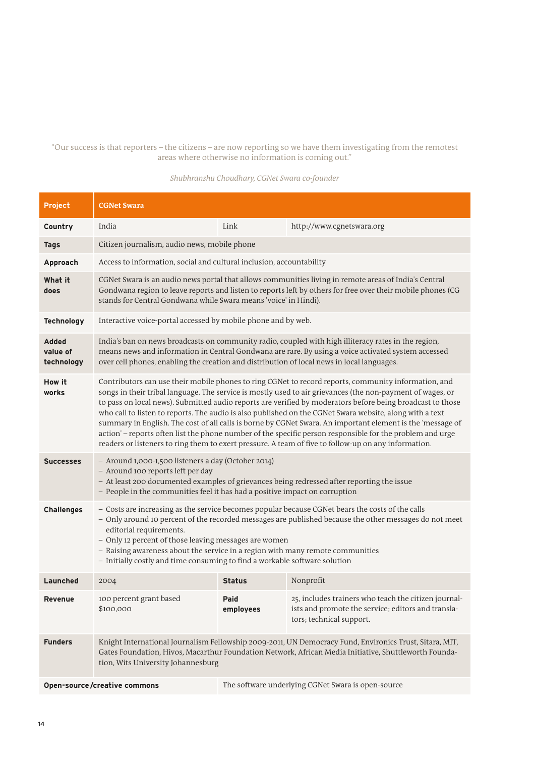"Our success is that reporters – the citizens – are now reporting so we have them investigating from the remotest areas where otherwise no information is coming out."

*Shubhranshu Choudhary, CGNet Swara co-founder*

| Project                                | <b>CGNet Swara</b>                                                                                                                                                                                                                                                                                                                                                                                                                                                                                                                                                                                                                                                                                                                                                              |                          |                                                                                                                                                                                                                  |  |
|----------------------------------------|---------------------------------------------------------------------------------------------------------------------------------------------------------------------------------------------------------------------------------------------------------------------------------------------------------------------------------------------------------------------------------------------------------------------------------------------------------------------------------------------------------------------------------------------------------------------------------------------------------------------------------------------------------------------------------------------------------------------------------------------------------------------------------|--------------------------|------------------------------------------------------------------------------------------------------------------------------------------------------------------------------------------------------------------|--|
| Country                                | India                                                                                                                                                                                                                                                                                                                                                                                                                                                                                                                                                                                                                                                                                                                                                                           | Link                     | http://www.cgnetswara.org                                                                                                                                                                                        |  |
| <b>Tags</b>                            | Citizen journalism, audio news, mobile phone                                                                                                                                                                                                                                                                                                                                                                                                                                                                                                                                                                                                                                                                                                                                    |                          |                                                                                                                                                                                                                  |  |
| Approach                               | Access to information, social and cultural inclusion, accountability                                                                                                                                                                                                                                                                                                                                                                                                                                                                                                                                                                                                                                                                                                            |                          |                                                                                                                                                                                                                  |  |
| What it<br>does                        | CGNet Swara is an audio news portal that allows communities living in remote areas of India's Central<br>Gondwana region to leave reports and listen to reports left by others for free over their mobile phones (CG<br>stands for Central Gondwana while Swara means 'voice' in Hindi).                                                                                                                                                                                                                                                                                                                                                                                                                                                                                        |                          |                                                                                                                                                                                                                  |  |
| <b>Technology</b>                      | Interactive voice-portal accessed by mobile phone and by web.                                                                                                                                                                                                                                                                                                                                                                                                                                                                                                                                                                                                                                                                                                                   |                          |                                                                                                                                                                                                                  |  |
| <b>Added</b><br>value of<br>technology | India's ban on news broadcasts on community radio, coupled with high illiteracy rates in the region,<br>means news and information in Central Gondwana are rare. By using a voice activated system accessed<br>over cell phones, enabling the creation and distribution of local news in local languages.                                                                                                                                                                                                                                                                                                                                                                                                                                                                       |                          |                                                                                                                                                                                                                  |  |
| How it<br>works                        | Contributors can use their mobile phones to ring CGNet to record reports, community information, and<br>songs in their tribal language. The service is mostly used to air grievances (the non-payment of wages, or<br>to pass on local news). Submitted audio reports are verified by moderators before being broadcast to those<br>who call to listen to reports. The audio is also published on the CGNet Swara website, along with a text<br>summary in English. The cost of all calls is borne by CGNet Swara. An important element is the 'message of<br>action' - reports often list the phone number of the specific person responsible for the problem and urge<br>readers or listeners to ring them to exert pressure. A team of five to follow-up on any information. |                          |                                                                                                                                                                                                                  |  |
| <b>Successes</b>                       | - Around 1,000-1,500 listeners a day (October 2014)<br>- Around 100 reports left per day<br>- At least 200 documented examples of grievances being redressed after reporting the issue<br>- People in the communities feel it has had a positive impact on corruption                                                                                                                                                                                                                                                                                                                                                                                                                                                                                                           |                          |                                                                                                                                                                                                                  |  |
| <b>Challenges</b>                      | - Costs are increasing as the service becomes popular because CGNet bears the costs of the calls<br>- Only around 10 percent of the recorded messages are published because the other messages do not meet<br>editorial requirements.<br>- Only 12 percent of those leaving messages are women<br>- Raising awareness about the service in a region with many remote communities<br>- Initially costly and time consuming to find a workable software solution                                                                                                                                                                                                                                                                                                                  |                          |                                                                                                                                                                                                                  |  |
| Launched                               | 2004                                                                                                                                                                                                                                                                                                                                                                                                                                                                                                                                                                                                                                                                                                                                                                            | <b>Status</b>            | Nonprofit                                                                                                                                                                                                        |  |
| Revenue                                | 100 percent grant based<br>\$100,000                                                                                                                                                                                                                                                                                                                                                                                                                                                                                                                                                                                                                                                                                                                                            | <b>Paid</b><br>employees | 25, includes trainers who teach the citizen journal-<br>ists and promote the service; editors and transla-<br>tors; technical support.                                                                           |  |
| <b>Funders</b>                         | tion, Wits University Johannesburg                                                                                                                                                                                                                                                                                                                                                                                                                                                                                                                                                                                                                                                                                                                                              |                          | Knight International Journalism Fellowship 2009-2011, UN Democracy Fund, Environics Trust, Sitara, MIT,<br>Gates Foundation, Hivos, Macarthur Foundation Network, African Media Initiative, Shuttleworth Founda- |  |

**Open-source/creative commons** The software underlying CGNet Swara is open-source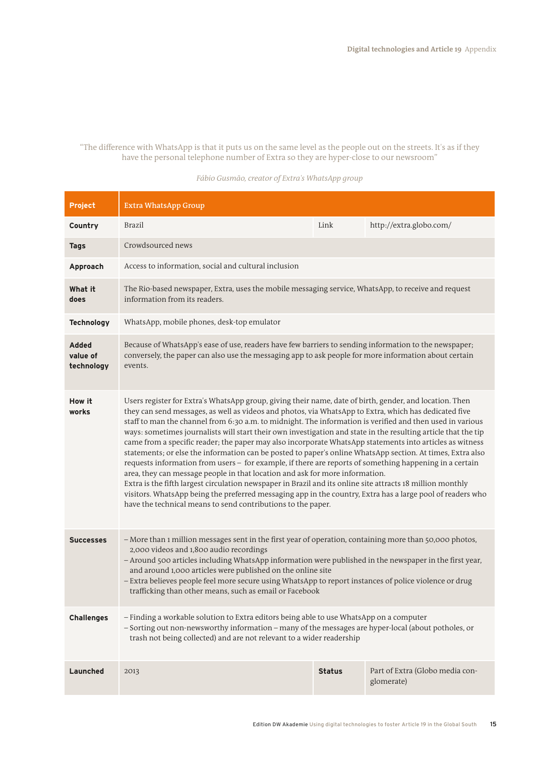# "The difference with WhatsApp is that it puts us on the same level as the people out on the streets. It's as if they have the personal telephone number of Extra so they are hyper-close to our newsroom"

| Project                                | <b>Extra WhatsApp Group</b>                                                                                                                                                                                                                                                                                                                                                                                                                                                                                                                                                                                                                                                                                                                                                                                                                                                                                                                                                                                                                                                                                                                                      |               |                                               |
|----------------------------------------|------------------------------------------------------------------------------------------------------------------------------------------------------------------------------------------------------------------------------------------------------------------------------------------------------------------------------------------------------------------------------------------------------------------------------------------------------------------------------------------------------------------------------------------------------------------------------------------------------------------------------------------------------------------------------------------------------------------------------------------------------------------------------------------------------------------------------------------------------------------------------------------------------------------------------------------------------------------------------------------------------------------------------------------------------------------------------------------------------------------------------------------------------------------|---------------|-----------------------------------------------|
| Country                                | Brazil                                                                                                                                                                                                                                                                                                                                                                                                                                                                                                                                                                                                                                                                                                                                                                                                                                                                                                                                                                                                                                                                                                                                                           | Link          | http://extra.globo.com/                       |
| <b>Tags</b>                            | Crowdsourced news                                                                                                                                                                                                                                                                                                                                                                                                                                                                                                                                                                                                                                                                                                                                                                                                                                                                                                                                                                                                                                                                                                                                                |               |                                               |
| Approach                               | Access to information, social and cultural inclusion                                                                                                                                                                                                                                                                                                                                                                                                                                                                                                                                                                                                                                                                                                                                                                                                                                                                                                                                                                                                                                                                                                             |               |                                               |
| What it<br>does                        | The Rio-based newspaper, Extra, uses the mobile messaging service, WhatsApp, to receive and request<br>information from its readers.                                                                                                                                                                                                                                                                                                                                                                                                                                                                                                                                                                                                                                                                                                                                                                                                                                                                                                                                                                                                                             |               |                                               |
| <b>Technology</b>                      | WhatsApp, mobile phones, desk-top emulator                                                                                                                                                                                                                                                                                                                                                                                                                                                                                                                                                                                                                                                                                                                                                                                                                                                                                                                                                                                                                                                                                                                       |               |                                               |
| <b>Added</b><br>value of<br>technology | Because of WhatsApp's ease of use, readers have few barriers to sending information to the newspaper;<br>conversely, the paper can also use the messaging app to ask people for more information about certain<br>events.                                                                                                                                                                                                                                                                                                                                                                                                                                                                                                                                                                                                                                                                                                                                                                                                                                                                                                                                        |               |                                               |
| How it<br>works                        | Users register for Extra's WhatsApp group, giving their name, date of birth, gender, and location. Then<br>they can send messages, as well as videos and photos, via WhatsApp to Extra, which has dedicated five<br>staff to man the channel from 6:30 a.m. to midnight. The information is verified and then used in various<br>ways: sometimes journalists will start their own investigation and state in the resulting article that the tip<br>came from a specific reader; the paper may also incorporate WhatsApp statements into articles as witness<br>statements; or else the information can be posted to paper's online WhatsApp section. At times, Extra also<br>requests information from users - for example, if there are reports of something happening in a certain<br>area, they can message people in that location and ask for more information.<br>Extra is the fifth largest circulation newspaper in Brazil and its online site attracts 18 million monthly<br>visitors. WhatsApp being the preferred messaging app in the country, Extra has a large pool of readers who<br>have the technical means to send contributions to the paper. |               |                                               |
| <b>Successes</b>                       | - More than 1 million messages sent in the first year of operation, containing more than 50,000 photos,<br>2,000 videos and 1,800 audio recordings<br>- Around 500 articles including WhatsApp information were published in the newspaper in the first year,<br>and around 1,000 articles were published on the online site<br>- Extra believes people feel more secure using WhatsApp to report instances of police violence or drug<br>trafficking than other means, such as email or Facebook                                                                                                                                                                                                                                                                                                                                                                                                                                                                                                                                                                                                                                                                |               |                                               |
| <b>Challenges</b>                      | - Finding a workable solution to Extra editors being able to use WhatsApp on a computer<br>- Sorting out non-newsworthy information - many of the messages are hyper-local (about potholes, or<br>trash not being collected) and are not relevant to a wider readership                                                                                                                                                                                                                                                                                                                                                                                                                                                                                                                                                                                                                                                                                                                                                                                                                                                                                          |               |                                               |
| <b>Launched</b>                        | 2013                                                                                                                                                                                                                                                                                                                                                                                                                                                                                                                                                                                                                                                                                                                                                                                                                                                                                                                                                                                                                                                                                                                                                             | <b>Status</b> | Part of Extra (Globo media con-<br>glomerate) |

# *Fábio Gusmão, creator of Extra's WhatsApp group*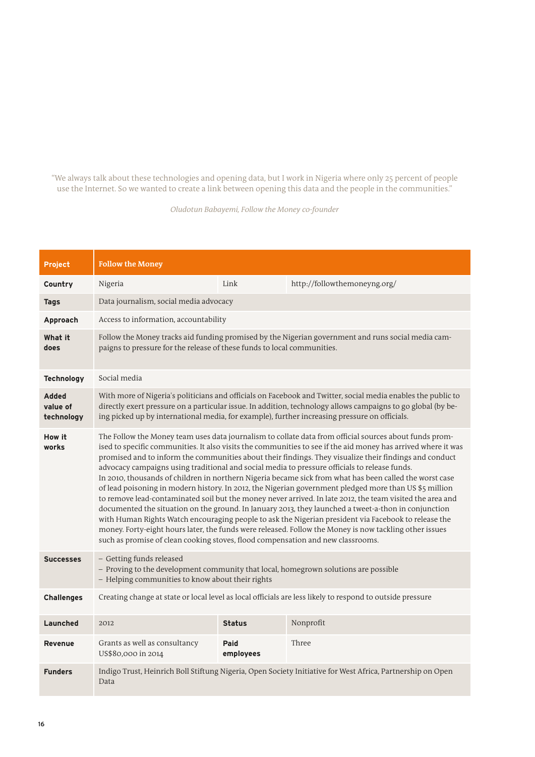"We always talk about these technologies and opening data, but I work in Nigeria where only 25 percent of people use the Internet. So we wanted to create a link between opening this data and the people in the communities."

*Oludotun Babayemi, Follow the Money co-founder*

| Project                                | <b>Follow the Money</b>                                                                                                                                                                                                                                                                                                                                                                                                                                                                                                                                                                                                                                                                                                                                                                                                                                                                                                                                                                                                                                                                                                                                                           |                   |                                                                                                           |  |
|----------------------------------------|-----------------------------------------------------------------------------------------------------------------------------------------------------------------------------------------------------------------------------------------------------------------------------------------------------------------------------------------------------------------------------------------------------------------------------------------------------------------------------------------------------------------------------------------------------------------------------------------------------------------------------------------------------------------------------------------------------------------------------------------------------------------------------------------------------------------------------------------------------------------------------------------------------------------------------------------------------------------------------------------------------------------------------------------------------------------------------------------------------------------------------------------------------------------------------------|-------------------|-----------------------------------------------------------------------------------------------------------|--|
| Country                                | Nigeria                                                                                                                                                                                                                                                                                                                                                                                                                                                                                                                                                                                                                                                                                                                                                                                                                                                                                                                                                                                                                                                                                                                                                                           | Link              | http://followthemoneyng.org/                                                                              |  |
| <b>Tags</b>                            | Data journalism, social media advocacy                                                                                                                                                                                                                                                                                                                                                                                                                                                                                                                                                                                                                                                                                                                                                                                                                                                                                                                                                                                                                                                                                                                                            |                   |                                                                                                           |  |
| Approach                               | Access to information, accountability                                                                                                                                                                                                                                                                                                                                                                                                                                                                                                                                                                                                                                                                                                                                                                                                                                                                                                                                                                                                                                                                                                                                             |                   |                                                                                                           |  |
| What it<br>does                        | Follow the Money tracks aid funding promised by the Nigerian government and runs social media cam-<br>paigns to pressure for the release of these funds to local communities.                                                                                                                                                                                                                                                                                                                                                                                                                                                                                                                                                                                                                                                                                                                                                                                                                                                                                                                                                                                                     |                   |                                                                                                           |  |
| <b>Technology</b>                      | Social media                                                                                                                                                                                                                                                                                                                                                                                                                                                                                                                                                                                                                                                                                                                                                                                                                                                                                                                                                                                                                                                                                                                                                                      |                   |                                                                                                           |  |
| <b>Added</b><br>value of<br>technology | With more of Nigeria's politicians and officials on Facebook and Twitter, social media enables the public to<br>directly exert pressure on a particular issue. In addition, technology allows campaigns to go global (by be-<br>ing picked up by international media, for example), further increasing pressure on officials.                                                                                                                                                                                                                                                                                                                                                                                                                                                                                                                                                                                                                                                                                                                                                                                                                                                     |                   |                                                                                                           |  |
| How it<br>works                        | The Follow the Money team uses data journalism to collate data from official sources about funds prom-<br>ised to specific communities. It also visits the communities to see if the aid money has arrived where it was<br>promised and to inform the communities about their findings. They visualize their findings and conduct<br>advocacy campaigns using traditional and social media to pressure officials to release funds.<br>In 2010, thousands of children in northern Nigeria became sick from what has been called the worst case<br>of lead poisoning in modern history. In 2012, the Nigerian government pledged more than US \$5 million<br>to remove lead-contaminated soil but the money never arrived. In late 2012, the team visited the area and<br>documented the situation on the ground. In January 2013, they launched a tweet-a-thon in conjunction<br>with Human Rights Watch encouraging people to ask the Nigerian president via Facebook to release the<br>money. Forty-eight hours later, the funds were released. Follow the Money is now tackling other issues<br>such as promise of clean cooking stoves, flood compensation and new classrooms. |                   |                                                                                                           |  |
| <b>Successes</b>                       | - Getting funds released<br>- Proving to the development community that local, homegrown solutions are possible<br>- Helping communities to know about their rights                                                                                                                                                                                                                                                                                                                                                                                                                                                                                                                                                                                                                                                                                                                                                                                                                                                                                                                                                                                                               |                   |                                                                                                           |  |
| <b>Challenges</b>                      |                                                                                                                                                                                                                                                                                                                                                                                                                                                                                                                                                                                                                                                                                                                                                                                                                                                                                                                                                                                                                                                                                                                                                                                   |                   | Creating change at state or local level as local officials are less likely to respond to outside pressure |  |
| Launched                               | 2012                                                                                                                                                                                                                                                                                                                                                                                                                                                                                                                                                                                                                                                                                                                                                                                                                                                                                                                                                                                                                                                                                                                                                                              | <b>Status</b>     | Nonprofit                                                                                                 |  |
| <b>Revenue</b>                         | Grants as well as consultancy<br>US\$80,000 in 2014                                                                                                                                                                                                                                                                                                                                                                                                                                                                                                                                                                                                                                                                                                                                                                                                                                                                                                                                                                                                                                                                                                                               | Paid<br>employees | Three                                                                                                     |  |
| <b>Funders</b>                         | Indigo Trust, Heinrich Boll Stiftung Nigeria, Open Society Initiative for West Africa, Partnership on Open<br>Data                                                                                                                                                                                                                                                                                                                                                                                                                                                                                                                                                                                                                                                                                                                                                                                                                                                                                                                                                                                                                                                                |                   |                                                                                                           |  |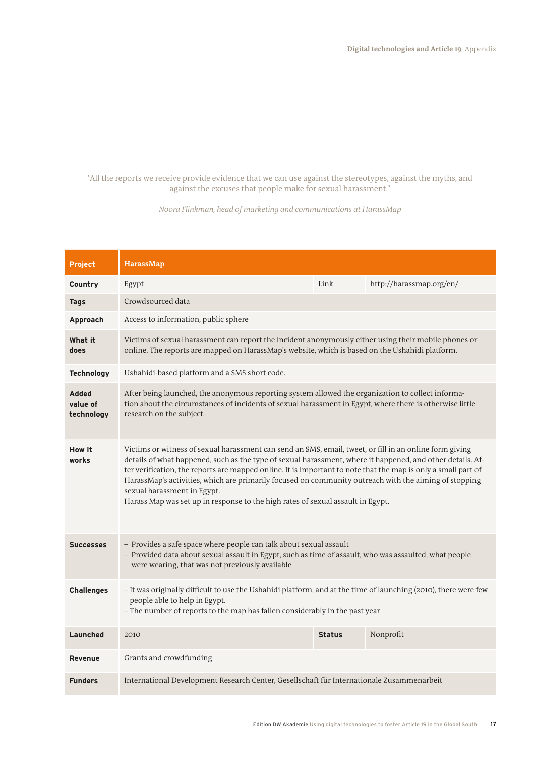# "All the reports we receive provide evidence that we can use against the stereotypes, against the myths, and against the excuses that people make for sexual harassment."

*Noora Flinkman, head of marketing and communications at HarassMap* 

| Project                         | HarassMap                                                                                                                                                                                                                                                                                                                                                                                                                                                                                                                                                         |               |                          |
|---------------------------------|-------------------------------------------------------------------------------------------------------------------------------------------------------------------------------------------------------------------------------------------------------------------------------------------------------------------------------------------------------------------------------------------------------------------------------------------------------------------------------------------------------------------------------------------------------------------|---------------|--------------------------|
| Country                         | Egypt                                                                                                                                                                                                                                                                                                                                                                                                                                                                                                                                                             | Link          | http://harassmap.org/en/ |
| <b>Tags</b>                     | Crowdsourced data                                                                                                                                                                                                                                                                                                                                                                                                                                                                                                                                                 |               |                          |
| Approach                        | Access to information, public sphere                                                                                                                                                                                                                                                                                                                                                                                                                                                                                                                              |               |                          |
| What it<br>does                 | Victims of sexual harassment can report the incident anonymously either using their mobile phones or<br>online. The reports are mapped on HarassMap's website, which is based on the Ushahidi platform.                                                                                                                                                                                                                                                                                                                                                           |               |                          |
| <b>Technology</b>               | Ushahidi-based platform and a SMS short code.                                                                                                                                                                                                                                                                                                                                                                                                                                                                                                                     |               |                          |
| Added<br>value of<br>technology | After being launched, the anonymous reporting system allowed the organization to collect informa-<br>tion about the circumstances of incidents of sexual harassment in Egypt, where there is otherwise little<br>research on the subject.                                                                                                                                                                                                                                                                                                                         |               |                          |
| How it<br>works                 | Victims or witness of sexual harassment can send an SMS, email, tweet, or fill in an online form giving<br>details of what happened, such as the type of sexual harassment, where it happened, and other details. Af-<br>ter verification, the reports are mapped online. It is important to note that the map is only a small part of<br>HarassMap's activities, which are primarily focused on community outreach with the aiming of stopping<br>sexual harassment in Egypt.<br>Harass Map was set up in response to the high rates of sexual assault in Egypt. |               |                          |
| <b>Successes</b>                | - Provides a safe space where people can talk about sexual assault<br>- Provided data about sexual assault in Egypt, such as time of assault, who was assaulted, what people<br>were wearing, that was not previously available                                                                                                                                                                                                                                                                                                                                   |               |                          |
| <b>Challenges</b>               | - It was originally difficult to use the Ushahidi platform, and at the time of launching (2010), there were few<br>people able to help in Egypt.<br>- The number of reports to the map has fallen considerably in the past year                                                                                                                                                                                                                                                                                                                                   |               |                          |
| <b>Launched</b>                 | 2010                                                                                                                                                                                                                                                                                                                                                                                                                                                                                                                                                              | <b>Status</b> | Nonprofit                |
| <b>Revenue</b>                  | Grants and crowdfunding                                                                                                                                                                                                                                                                                                                                                                                                                                                                                                                                           |               |                          |
| <b>Funders</b>                  | International Development Research Center, Gesellschaft für Internationale Zusammenarbeit                                                                                                                                                                                                                                                                                                                                                                                                                                                                         |               |                          |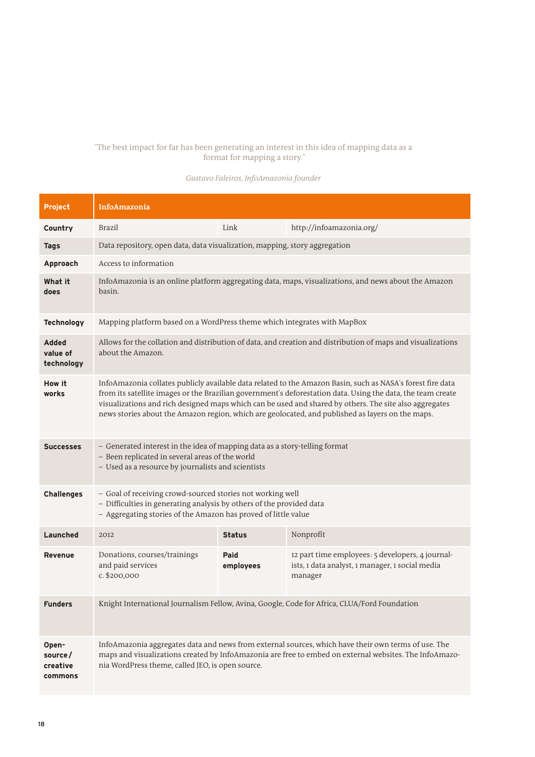# "The best impact for far has been generating an interest in this idea of mapping data as a format for mapping a story."

# *Gustavo Faleiros, InfoAmazonia founder*

| Project                                 | InfoAmazonia                                                                                                                                                                                                                                                                                                                                                                                                                            |                                                                                                      |                                                                                                                                                                                                               |  |  |
|-----------------------------------------|-----------------------------------------------------------------------------------------------------------------------------------------------------------------------------------------------------------------------------------------------------------------------------------------------------------------------------------------------------------------------------------------------------------------------------------------|------------------------------------------------------------------------------------------------------|---------------------------------------------------------------------------------------------------------------------------------------------------------------------------------------------------------------|--|--|
| Country                                 | Brazil                                                                                                                                                                                                                                                                                                                                                                                                                                  | Link                                                                                                 | http://infoamazonia.org/                                                                                                                                                                                      |  |  |
| <b>Tags</b>                             | Data repository, open data, data visualization, mapping, story aggregation                                                                                                                                                                                                                                                                                                                                                              |                                                                                                      |                                                                                                                                                                                                               |  |  |
| Approach                                | Access to information                                                                                                                                                                                                                                                                                                                                                                                                                   |                                                                                                      |                                                                                                                                                                                                               |  |  |
| What it<br>does                         | basin.                                                                                                                                                                                                                                                                                                                                                                                                                                  | InfoAmazonia is an online platform aggregating data, maps, visualizations, and news about the Amazon |                                                                                                                                                                                                               |  |  |
| <b>Technology</b>                       | Mapping platform based on a WordPress theme which integrates with MapBox                                                                                                                                                                                                                                                                                                                                                                |                                                                                                      |                                                                                                                                                                                                               |  |  |
| Added<br>value of<br>technology         | Allows for the collation and distribution of data, and creation and distribution of maps and visualizations<br>about the Amazon.                                                                                                                                                                                                                                                                                                        |                                                                                                      |                                                                                                                                                                                                               |  |  |
| How it<br>works                         | InfoAmazonia collates publicly available data related to the Amazon Basin, such as NASA's forest fire data<br>from its satellite images or the Brazilian government's deforestation data. Using the data, the team create<br>visualizations and rich designed maps which can be used and shared by others. The site also aggregates<br>news stories about the Amazon region, which are geolocated, and published as layers on the maps. |                                                                                                      |                                                                                                                                                                                                               |  |  |
| <b>Successes</b>                        | - Generated interest in the idea of mapping data as a story-telling format<br>- Been replicated in several areas of the world<br>- Used as a resource by journalists and scientists                                                                                                                                                                                                                                                     |                                                                                                      |                                                                                                                                                                                                               |  |  |
| <b>Challenges</b>                       | - Goal of receiving crowd-sourced stories not working well<br>- Difficulties in generating analysis by others of the provided data<br>- Aggregating stories of the Amazon has proved of little value                                                                                                                                                                                                                                    |                                                                                                      |                                                                                                                                                                                                               |  |  |
| <b>Launched</b>                         | 2012                                                                                                                                                                                                                                                                                                                                                                                                                                    | <b>Status</b>                                                                                        | Nonprofit                                                                                                                                                                                                     |  |  |
| <b>Revenue</b>                          | Donations, courses/trainings<br>and paid services<br>c. \$200,000                                                                                                                                                                                                                                                                                                                                                                       | Paid<br>employees                                                                                    | 12 part time employees: 5 developers, 4 journal-<br>ists, 1 data analyst, 1 manager, 1 social media<br>manager                                                                                                |  |  |
| <b>Funders</b>                          | Knight International Journalism Fellow, Avina, Google, Code for Africa, CLUA/Ford Foundation                                                                                                                                                                                                                                                                                                                                            |                                                                                                      |                                                                                                                                                                                                               |  |  |
| Open-<br>source/<br>creative<br>commons | nia WordPress theme, called JEO, is open source.                                                                                                                                                                                                                                                                                                                                                                                        |                                                                                                      | InfoAmazonia aggregates data and news from external sources, which have their own terms of use. The<br>maps and visualizations created by InfoAmazonia are free to embed on external websites. The InfoAmazo- |  |  |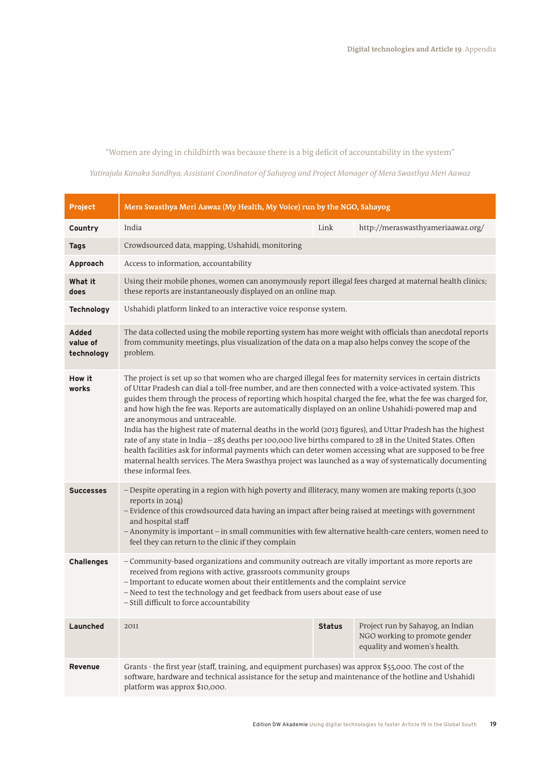"Women are dying in childbirth was because there is a big deficit of accountability in the system"

*Yatirajula Kanaka Sandhya, Assistant Coordinator of Sahayog and Project Manager of Mera Swasthya Meri Aawaz*

| Project                                | Mera Swasthya Meri Aawaz (My Health, My Voice) run by the NGO, Sahayog                                                                                                                                                                                                                                                                                                                                                                                                                                                                                                                                                                                                                                                                                                                                                                                                                                                                                       |                                                                                                                                                                           |                                                                                                    |  |
|----------------------------------------|--------------------------------------------------------------------------------------------------------------------------------------------------------------------------------------------------------------------------------------------------------------------------------------------------------------------------------------------------------------------------------------------------------------------------------------------------------------------------------------------------------------------------------------------------------------------------------------------------------------------------------------------------------------------------------------------------------------------------------------------------------------------------------------------------------------------------------------------------------------------------------------------------------------------------------------------------------------|---------------------------------------------------------------------------------------------------------------------------------------------------------------------------|----------------------------------------------------------------------------------------------------|--|
| Country                                | India                                                                                                                                                                                                                                                                                                                                                                                                                                                                                                                                                                                                                                                                                                                                                                                                                                                                                                                                                        | Link                                                                                                                                                                      | http://meraswasthyameriaawaz.org/                                                                  |  |
| <b>Tags</b>                            | Crowdsourced data, mapping, Ushahidi, monitoring                                                                                                                                                                                                                                                                                                                                                                                                                                                                                                                                                                                                                                                                                                                                                                                                                                                                                                             |                                                                                                                                                                           |                                                                                                    |  |
| Approach                               | Access to information, accountability                                                                                                                                                                                                                                                                                                                                                                                                                                                                                                                                                                                                                                                                                                                                                                                                                                                                                                                        |                                                                                                                                                                           |                                                                                                    |  |
| What it<br>does                        |                                                                                                                                                                                                                                                                                                                                                                                                                                                                                                                                                                                                                                                                                                                                                                                                                                                                                                                                                              | Using their mobile phones, women can anonymously report illegal fees charged at maternal health clinics;<br>these reports are instantaneously displayed on an online map. |                                                                                                    |  |
| <b>Technology</b>                      | Ushahidi platform linked to an interactive voice response system.                                                                                                                                                                                                                                                                                                                                                                                                                                                                                                                                                                                                                                                                                                                                                                                                                                                                                            |                                                                                                                                                                           |                                                                                                    |  |
| <b>Added</b><br>value of<br>technology | The data collected using the mobile reporting system has more weight with officials than anecdotal reports<br>from community meetings, plus visualization of the data on a map also helps convey the scope of the<br>problem.                                                                                                                                                                                                                                                                                                                                                                                                                                                                                                                                                                                                                                                                                                                                |                                                                                                                                                                           |                                                                                                    |  |
| How it<br>works                        | The project is set up so that women who are charged illegal fees for maternity services in certain districts<br>of Uttar Pradesh can dial a toll-free number, and are then connected with a voice-activated system. This<br>guides them through the process of reporting which hospital charged the fee, what the fee was charged for,<br>and how high the fee was. Reports are automatically displayed on an online Ushahidi-powered map and<br>are anonymous and untraceable.<br>India has the highest rate of maternal deaths in the world (2013 figures), and Uttar Pradesh has the highest<br>rate of any state in India - 285 deaths per 100,000 live births compared to 28 in the United States. Often<br>health facilities ask for informal payments which can deter women accessing what are supposed to be free<br>maternal health services. The Mera Swasthya project was launched as a way of systematically documenting<br>these informal fees. |                                                                                                                                                                           |                                                                                                    |  |
| <b>Successes</b>                       | - Despite operating in a region with high poverty and illiteracy, many women are making reports (1,300<br>reports in 2014)<br>- Evidence of this crowdsourced data having an impact after being raised at meetings with government<br>and hospital staff<br>- Anonymity is important - in small communities with few alternative health-care centers, women need to<br>feel they can return to the clinic if they complain                                                                                                                                                                                                                                                                                                                                                                                                                                                                                                                                   |                                                                                                                                                                           |                                                                                                    |  |
| <b>Challenges</b>                      | - Community-based organizations and community outreach are vitally important as more reports are<br>received from regions with active, grassroots community groups<br>- Important to educate women about their entitlements and the complaint service<br>- Need to test the technology and get feedback from users about ease of use<br>- Still difficult to force accountability                                                                                                                                                                                                                                                                                                                                                                                                                                                                                                                                                                            |                                                                                                                                                                           |                                                                                                    |  |
| Launched                               | 2011                                                                                                                                                                                                                                                                                                                                                                                                                                                                                                                                                                                                                                                                                                                                                                                                                                                                                                                                                         | <b>Status</b>                                                                                                                                                             | Project run by Sahayog, an Indian<br>NGO working to promote gender<br>equality and women's health. |  |
| <b>Revenue</b>                         | Grants - the first year (staff, training, and equipment purchases) was approx \$55,000. The cost of the<br>software, hardware and technical assistance for the setup and maintenance of the hotline and Ushahidi<br>platform was approx \$10,000.                                                                                                                                                                                                                                                                                                                                                                                                                                                                                                                                                                                                                                                                                                            |                                                                                                                                                                           |                                                                                                    |  |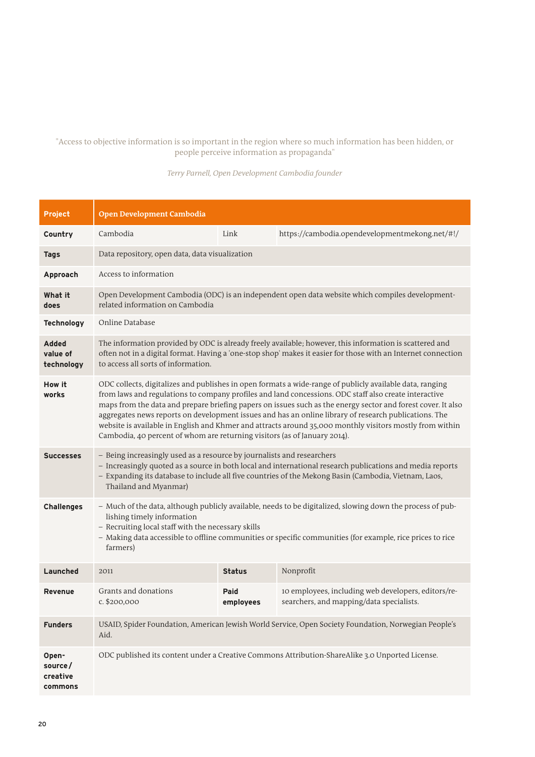#### "Access to objective information is so important in the region where so much information has been hidden, or people perceive information as propaganda"

# *Terry Parnell, Open Development Cambodia founder*

| Project                                 | <b>Open Development Cambodia</b>                                                                                                                                                                                                                                                                                                                                                                                                                                                                                                                                                                                                    |                   |                                                                                                                                                                                                                          |  |
|-----------------------------------------|-------------------------------------------------------------------------------------------------------------------------------------------------------------------------------------------------------------------------------------------------------------------------------------------------------------------------------------------------------------------------------------------------------------------------------------------------------------------------------------------------------------------------------------------------------------------------------------------------------------------------------------|-------------------|--------------------------------------------------------------------------------------------------------------------------------------------------------------------------------------------------------------------------|--|
| Country                                 | Cambodia                                                                                                                                                                                                                                                                                                                                                                                                                                                                                                                                                                                                                            | Link              | https://cambodia.opendevelopmentmekong.net/#!/                                                                                                                                                                           |  |
| <b>Tags</b>                             | Data repository, open data, data visualization                                                                                                                                                                                                                                                                                                                                                                                                                                                                                                                                                                                      |                   |                                                                                                                                                                                                                          |  |
| Approach                                | Access to information                                                                                                                                                                                                                                                                                                                                                                                                                                                                                                                                                                                                               |                   |                                                                                                                                                                                                                          |  |
| What it<br>does                         | related information on Cambodia                                                                                                                                                                                                                                                                                                                                                                                                                                                                                                                                                                                                     |                   | Open Development Cambodia (ODC) is an independent open data website which compiles development-                                                                                                                          |  |
| <b>Technology</b>                       | Online Database                                                                                                                                                                                                                                                                                                                                                                                                                                                                                                                                                                                                                     |                   |                                                                                                                                                                                                                          |  |
| <b>Added</b><br>value of<br>technology  | to access all sorts of information.                                                                                                                                                                                                                                                                                                                                                                                                                                                                                                                                                                                                 |                   | The information provided by ODC is already freely available; however, this information is scattered and<br>often not in a digital format. Having a 'one-stop shop' makes it easier for those with an Internet connection |  |
| How it<br>works                         | ODC collects, digitalizes and publishes in open formats a wide-range of publicly available data, ranging<br>from laws and regulations to company profiles and land concessions. ODC staff also create interactive<br>maps from the data and prepare briefing papers on issues such as the energy sector and forest cover. It also<br>aggregates news reports on development issues and has an online library of research publications. The<br>website is available in English and Khmer and attracts around 35,000 monthly visitors mostly from within<br>Cambodia, 40 percent of whom are returning visitors (as of January 2014). |                   |                                                                                                                                                                                                                          |  |
| <b>Successes</b>                        | - Being increasingly used as a resource by journalists and researchers<br>- Increasingly quoted as a source in both local and international research publications and media reports<br>- Expanding its database to include all five countries of the Mekong Basin (Cambodia, Vietnam, Laos,<br>Thailand and Myanmar)                                                                                                                                                                                                                                                                                                                |                   |                                                                                                                                                                                                                          |  |
| <b>Challenges</b>                       | - Much of the data, although publicly available, needs to be digitalized, slowing down the process of pub-<br>lishing timely information<br>- Recruiting local staff with the necessary skills<br>- Making data accessible to offline communities or specific communities (for example, rice prices to rice<br>farmers)                                                                                                                                                                                                                                                                                                             |                   |                                                                                                                                                                                                                          |  |
| <b>Launched</b>                         | 2011                                                                                                                                                                                                                                                                                                                                                                                                                                                                                                                                                                                                                                | <b>Status</b>     | Nonprofit                                                                                                                                                                                                                |  |
| <b>Revenue</b>                          | Grants and donations<br>$c.$ \$200,000                                                                                                                                                                                                                                                                                                                                                                                                                                                                                                                                                                                              | Paid<br>employees | 10 employees, including web developers, editors/re-<br>searchers, and mapping/data specialists.                                                                                                                          |  |
| <b>Funders</b>                          | Aid.                                                                                                                                                                                                                                                                                                                                                                                                                                                                                                                                                                                                                                |                   | USAID, Spider Foundation, American Jewish World Service, Open Society Foundation, Norwegian People's                                                                                                                     |  |
| Open-<br>source/<br>creative<br>commons | ODC published its content under a Creative Commons Attribution-ShareAlike 3.0 Unported License.                                                                                                                                                                                                                                                                                                                                                                                                                                                                                                                                     |                   |                                                                                                                                                                                                                          |  |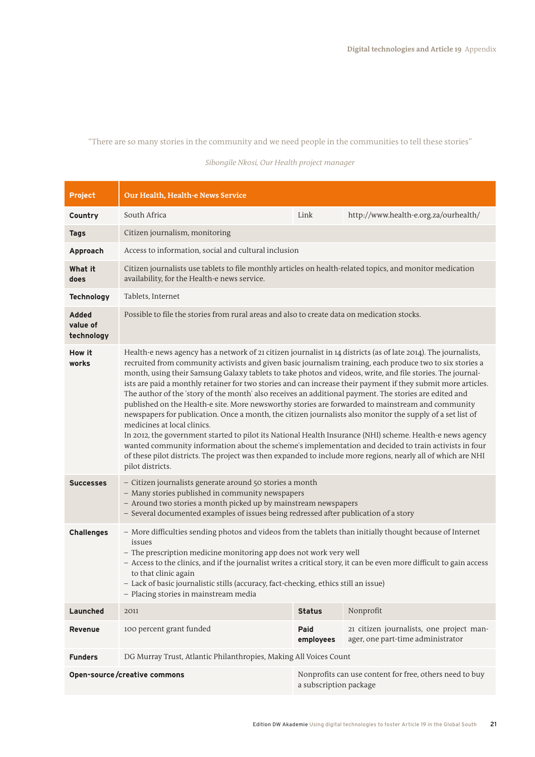"There are so many stories in the community and we need people in the communities to tell these stories"

*Sibongile Nkosi, Our Health project manager*

| Project                                                                                                           | Our Health, Health-e News Service                                                                                                                                                                                                                                                                                                                                                                                                                                                                                                                                                                                                                                                                                                                                                                                                                                                                                                                                                                                                                                                                                                                                                 |                                                                                                           |                                                                               |  |  |
|-------------------------------------------------------------------------------------------------------------------|-----------------------------------------------------------------------------------------------------------------------------------------------------------------------------------------------------------------------------------------------------------------------------------------------------------------------------------------------------------------------------------------------------------------------------------------------------------------------------------------------------------------------------------------------------------------------------------------------------------------------------------------------------------------------------------------------------------------------------------------------------------------------------------------------------------------------------------------------------------------------------------------------------------------------------------------------------------------------------------------------------------------------------------------------------------------------------------------------------------------------------------------------------------------------------------|-----------------------------------------------------------------------------------------------------------|-------------------------------------------------------------------------------|--|--|
| Country                                                                                                           | South Africa                                                                                                                                                                                                                                                                                                                                                                                                                                                                                                                                                                                                                                                                                                                                                                                                                                                                                                                                                                                                                                                                                                                                                                      | Link                                                                                                      | http://www.health-e.org.za/ourhealth/                                         |  |  |
| <b>Tags</b>                                                                                                       | Citizen journalism, monitoring                                                                                                                                                                                                                                                                                                                                                                                                                                                                                                                                                                                                                                                                                                                                                                                                                                                                                                                                                                                                                                                                                                                                                    |                                                                                                           |                                                                               |  |  |
| Approach                                                                                                          | Access to information, social and cultural inclusion                                                                                                                                                                                                                                                                                                                                                                                                                                                                                                                                                                                                                                                                                                                                                                                                                                                                                                                                                                                                                                                                                                                              |                                                                                                           |                                                                               |  |  |
| What it<br>does                                                                                                   | availability, for the Health-e news service.                                                                                                                                                                                                                                                                                                                                                                                                                                                                                                                                                                                                                                                                                                                                                                                                                                                                                                                                                                                                                                                                                                                                      | Citizen journalists use tablets to file monthly articles on health-related topics, and monitor medication |                                                                               |  |  |
| <b>Technology</b>                                                                                                 | Tablets, Internet                                                                                                                                                                                                                                                                                                                                                                                                                                                                                                                                                                                                                                                                                                                                                                                                                                                                                                                                                                                                                                                                                                                                                                 |                                                                                                           |                                                                               |  |  |
| <b>Added</b><br>value of<br>technology                                                                            | Possible to file the stories from rural areas and also to create data on medication stocks.                                                                                                                                                                                                                                                                                                                                                                                                                                                                                                                                                                                                                                                                                                                                                                                                                                                                                                                                                                                                                                                                                       |                                                                                                           |                                                                               |  |  |
| How it<br>works                                                                                                   | Health-e news agency has a network of 21 citizen journalist in 14 districts (as of late 2014). The journalists,<br>recruited from community activists and given basic journalism training, each produce two to six stories a<br>month, using their Samsung Galaxy tablets to take photos and videos, write, and file stories. The journal-<br>ists are paid a monthly retainer for two stories and can increase their payment if they submit more articles.<br>The author of the 'story of the month' also receives an additional payment. The stories are edited and<br>published on the Health-e site. More newsworthy stories are forwarded to mainstream and community<br>newspapers for publication. Once a month, the citizen journalists also monitor the supply of a set list of<br>medicines at local clinics.<br>In 2012, the government started to pilot its National Health Insurance (NHI) scheme. Health-e news agency<br>wanted community information about the scheme's implementation and decided to train activists in four<br>of these pilot districts. The project was then expanded to include more regions, nearly all of which are NHI<br>pilot districts. |                                                                                                           |                                                                               |  |  |
| <b>Successes</b>                                                                                                  | - Citizen journalists generate around 50 stories a month<br>- Many stories published in community newspapers<br>- Around two stories a month picked up by mainstream newspapers<br>- Several documented examples of issues being redressed after publication of a story                                                                                                                                                                                                                                                                                                                                                                                                                                                                                                                                                                                                                                                                                                                                                                                                                                                                                                           |                                                                                                           |                                                                               |  |  |
| <b>Challenges</b>                                                                                                 | - More difficulties sending photos and videos from the tablets than initially thought because of Internet<br>issues<br>- The prescription medicine monitoring app does not work very well<br>- Access to the clinics, and if the journalist writes a critical story, it can be even more difficult to gain access<br>to that clinic again<br>- Lack of basic journalistic stills (accuracy, fact-checking, ethics still an issue)<br>- Placing stories in mainstream media                                                                                                                                                                                                                                                                                                                                                                                                                                                                                                                                                                                                                                                                                                        |                                                                                                           |                                                                               |  |  |
| Launched                                                                                                          | 2011                                                                                                                                                                                                                                                                                                                                                                                                                                                                                                                                                                                                                                                                                                                                                                                                                                                                                                                                                                                                                                                                                                                                                                              | <b>Status</b>                                                                                             | Nonprofit                                                                     |  |  |
| <b>Revenue</b>                                                                                                    | 100 percent grant funded                                                                                                                                                                                                                                                                                                                                                                                                                                                                                                                                                                                                                                                                                                                                                                                                                                                                                                                                                                                                                                                                                                                                                          | Paid<br>employees                                                                                         | 21 citizen journalists, one project man-<br>ager, one part-time administrator |  |  |
| <b>Funders</b>                                                                                                    | DG Murray Trust, Atlantic Philanthropies, Making All Voices Count                                                                                                                                                                                                                                                                                                                                                                                                                                                                                                                                                                                                                                                                                                                                                                                                                                                                                                                                                                                                                                                                                                                 |                                                                                                           |                                                                               |  |  |
| Nonprofits can use content for free, others need to buy<br>Open-source/creative commons<br>a subscription package |                                                                                                                                                                                                                                                                                                                                                                                                                                                                                                                                                                                                                                                                                                                                                                                                                                                                                                                                                                                                                                                                                                                                                                                   |                                                                                                           |                                                                               |  |  |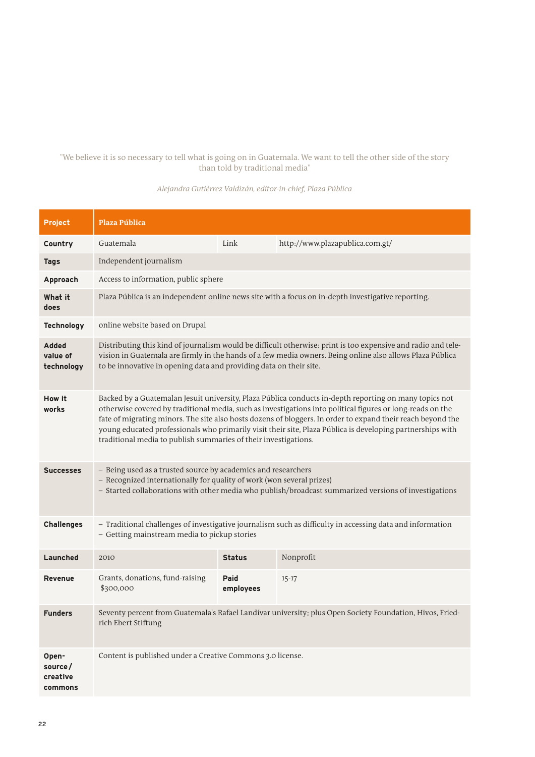#### "We believe it is so necessary to tell what is going on in Guatemala. We want to tell the other side of the story than told by traditional media"

# **Project Plaza Pública Country** Guatemala Link http://www.plazapublica.com.gt/ **Tags** Independent journalism **Approach** Access to information, public sphere **What it does** Plaza Pública is an independent online news site with a focus on in-depth investigative reporting. **Technology** online website based on Drupal **Added value of technology** Distributing this kind of journalism would be difficult otherwise: print is too expensive and radio and television in Guatemala are firmly in the hands of a few media owners. Being online also allows Plaza Pública to be innovative in opening data and providing data on their site. **How it works** Backed by a Guatemalan Jesuit university, Plaza Pública conducts in-depth reporting on many topics not otherwise covered by traditional media, such as investigations into political figures or long-reads on the fate of migrating minors. The site also hosts dozens of bloggers. In order to expand their reach beyond the young educated professionals who primarily visit their site, Plaza Pública is developing partnerships with traditional media to publish summaries of their investigations. **Successes** – Being used as a trusted source by academics and researchers – Recognized internationally for quality of work (won several prizes) – Started collaborations with other media who publish/broadcast summarized versions of investigations **Challenges** – Traditional challenges of investigative journalism such as difficulty in accessing data and information – Getting mainstream media to pickup stories **Launched** 2010 **Status** Nonprofit **Revenue** Grants, donations, fund-raising \$300,000 **Paid employees** 15-17 **Funders** Seventy percent from Guatemala's Rafael Landívar university; plus Open Society Foundation, Hivos, Friedrich Ebert Stiftung **Opensource/ creative**  Content is published under a Creative Commons 3.0 license.

#### *Alejandra Gutiérrez Valdizán, editor-in-chief, Plaza Pública*

**commons**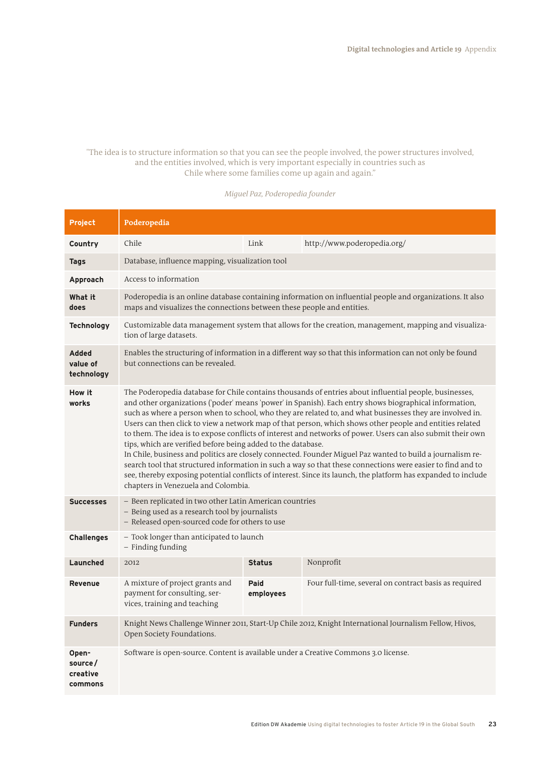#### "The idea is to structure information so that you can see the people involved, the power structures involved, and the entities involved, which is very important especially in countries such as Chile where some families come up again and again."

#### **Project Poderopedia Country** Chile Chile Link http://www.poderopedia.org/ **Tags** Database, influence mapping, visualization tool **Approach** Access to information **What it does** Poderopedia is an online database containing information on influential people and organizations. It also maps and visualizes the connections between these people and entities. **Technology** Customizable data management system that allows for the creation, management, mapping and visualization of large datasets. **Added value of technology** Enables the structuring of information in a different way so that this information can not only be found but connections can be revealed. **How it works** The Poderopedia database for Chile contains thousands of entries about influential people, businesses, and other organizations ('poder' means 'power' in Spanish). Each entry shows biographical information, such as where a person when to school, who they are related to, and what businesses they are involved in. Users can then click to view a network map of that person, which shows other people and entities related to them. The idea is to expose conflicts of interest and networks of power. Users can also submit their own tips, which are verified before being added to the database. In Chile, business and politics are closely connected. Founder Miguel Paz wanted to build a journalism research tool that structured information in such a way so that these connections were easier to find and to see, thereby exposing potential conflicts of interest. Since its launch, the platform has expanded to include chapters in Venezuela and Colombia. **Successes** – Been replicated in two other Latin American countries – Being used as a research tool by journalists – Released open-sourced code for others to use **Challenges** – Took longer than anticipated to launch – Finding funding **Launched** 2012 **Status** Nonprofit **Revenue** A mixture of project grants and payment for consulting, services, training and teaching **Paid employees** Four full-time, several on contract basis as required **Funders** Knight News Challenge Winner 2011, Start-Up Chile 2012, Knight International Journalism Fellow, Hivos, Open Society Foundations. **Opensource/** Software is open-source. Content is available under a Creative Commons 3.0 license.

**creative commons**

#### *Miguel Paz, Poderopedia founder*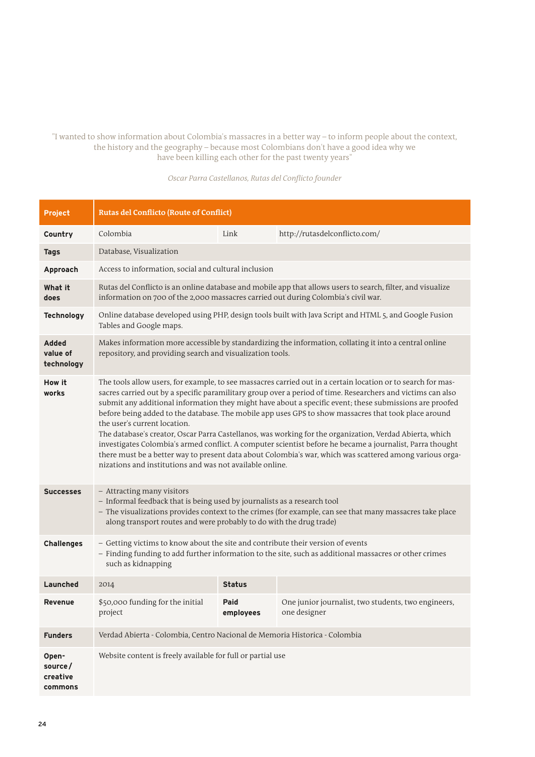"I wanted to show information about Colombia's massacres in a better way – to inform people about the context, the history and the geography – because most Colombians don't have a good idea why we have been killing each other for the past twenty years"

*Oscar Parra Castellanos, Rutas del Conflicto founder* 

| Project                                 | <b>Rutas del Conflicto (Route of Conflict)</b>                                                                                                                                                                                                                                                                                                                                                                                                                                                                                                                                                                                                                                                                                                                                                                                                                                  |                   |                                                                     |  |  |
|-----------------------------------------|---------------------------------------------------------------------------------------------------------------------------------------------------------------------------------------------------------------------------------------------------------------------------------------------------------------------------------------------------------------------------------------------------------------------------------------------------------------------------------------------------------------------------------------------------------------------------------------------------------------------------------------------------------------------------------------------------------------------------------------------------------------------------------------------------------------------------------------------------------------------------------|-------------------|---------------------------------------------------------------------|--|--|
| Country                                 | Colombia                                                                                                                                                                                                                                                                                                                                                                                                                                                                                                                                                                                                                                                                                                                                                                                                                                                                        | Link              | http://rutasdelconflicto.com/                                       |  |  |
| <b>Tags</b>                             | Database, Visualization                                                                                                                                                                                                                                                                                                                                                                                                                                                                                                                                                                                                                                                                                                                                                                                                                                                         |                   |                                                                     |  |  |
| Approach                                | Access to information, social and cultural inclusion                                                                                                                                                                                                                                                                                                                                                                                                                                                                                                                                                                                                                                                                                                                                                                                                                            |                   |                                                                     |  |  |
| What it<br>does                         | Rutas del Conflicto is an online database and mobile app that allows users to search, filter, and visualize<br>information on 700 of the 2,000 massacres carried out during Colombia's civil war.                                                                                                                                                                                                                                                                                                                                                                                                                                                                                                                                                                                                                                                                               |                   |                                                                     |  |  |
| <b>Technology</b>                       | Online database developed using PHP, design tools built with Java Script and HTML 5, and Google Fusion<br>Tables and Google maps.                                                                                                                                                                                                                                                                                                                                                                                                                                                                                                                                                                                                                                                                                                                                               |                   |                                                                     |  |  |
| <b>Added</b><br>value of<br>technology  | Makes information more accessible by standardizing the information, collating it into a central online<br>repository, and providing search and visualization tools.                                                                                                                                                                                                                                                                                                                                                                                                                                                                                                                                                                                                                                                                                                             |                   |                                                                     |  |  |
| How it<br>works                         | The tools allow users, for example, to see massacres carried out in a certain location or to search for mas-<br>sacres carried out by a specific paramilitary group over a period of time. Researchers and victims can also<br>submit any additional information they might have about a specific event; these submissions are proofed<br>before being added to the database. The mobile app uses GPS to show massacres that took place around<br>the user's current location.<br>The database's creator, Oscar Parra Castellanos, was working for the organization, Verdad Abierta, which<br>investigates Colombia's armed conflict. A computer scientist before he became a journalist, Parra thought<br>there must be a better way to present data about Colombia's war, which was scattered among various orga-<br>nizations and institutions and was not available online. |                   |                                                                     |  |  |
| <b>Successes</b>                        | - Attracting many visitors<br>- Informal feedback that is being used by journalists as a research tool<br>- The visualizations provides context to the crimes (for example, can see that many massacres take place<br>along transport routes and were probably to do with the drug trade)                                                                                                                                                                                                                                                                                                                                                                                                                                                                                                                                                                                       |                   |                                                                     |  |  |
| <b>Challenges</b>                       | - Getting victims to know about the site and contribute their version of events<br>- Finding funding to add further information to the site, such as additional massacres or other crimes<br>such as kidnapping                                                                                                                                                                                                                                                                                                                                                                                                                                                                                                                                                                                                                                                                 |                   |                                                                     |  |  |
| <b>Launched</b>                         | 2014                                                                                                                                                                                                                                                                                                                                                                                                                                                                                                                                                                                                                                                                                                                                                                                                                                                                            | <b>Status</b>     |                                                                     |  |  |
| Revenue                                 | \$50,000 funding for the initial<br>project                                                                                                                                                                                                                                                                                                                                                                                                                                                                                                                                                                                                                                                                                                                                                                                                                                     | Paid<br>employees | One junior journalist, two students, two engineers,<br>one designer |  |  |
| <b>Funders</b>                          | Verdad Abierta - Colombia, Centro Nacional de Memoria Historica - Colombia                                                                                                                                                                                                                                                                                                                                                                                                                                                                                                                                                                                                                                                                                                                                                                                                      |                   |                                                                     |  |  |
| Open-<br>source/<br>creative<br>commons | Website content is freely available for full or partial use                                                                                                                                                                                                                                                                                                                                                                                                                                                                                                                                                                                                                                                                                                                                                                                                                     |                   |                                                                     |  |  |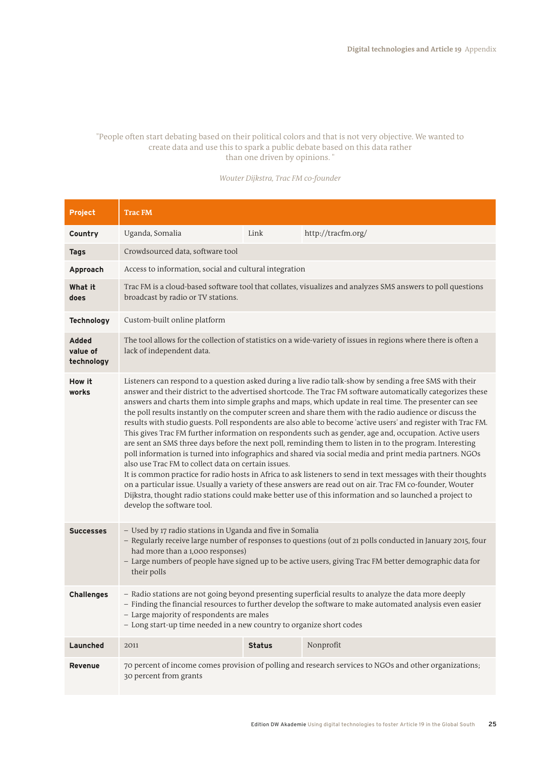# "People often start debating based on their political colors and that is not very objective. We wanted to create data and use this to spark a public debate based on this data rather than one driven by opinions. "

*Wouter Dijkstra, Trac FM co-founder* 

| Project                         | <b>Trac FM</b>                                                                                                                                                                                                                                                                                                                                                                                                                                                                                                                                                                                                                                                                                                                                                                                                                                                                                                                                                                                                                                                                                                                                                                                                                                                                                                                |               |                    |  |  |  |
|---------------------------------|-------------------------------------------------------------------------------------------------------------------------------------------------------------------------------------------------------------------------------------------------------------------------------------------------------------------------------------------------------------------------------------------------------------------------------------------------------------------------------------------------------------------------------------------------------------------------------------------------------------------------------------------------------------------------------------------------------------------------------------------------------------------------------------------------------------------------------------------------------------------------------------------------------------------------------------------------------------------------------------------------------------------------------------------------------------------------------------------------------------------------------------------------------------------------------------------------------------------------------------------------------------------------------------------------------------------------------|---------------|--------------------|--|--|--|
| Country                         | Uganda, Somalia                                                                                                                                                                                                                                                                                                                                                                                                                                                                                                                                                                                                                                                                                                                                                                                                                                                                                                                                                                                                                                                                                                                                                                                                                                                                                                               | Link          | http://tracfm.org/ |  |  |  |
| <b>Tags</b>                     | Crowdsourced data, software tool                                                                                                                                                                                                                                                                                                                                                                                                                                                                                                                                                                                                                                                                                                                                                                                                                                                                                                                                                                                                                                                                                                                                                                                                                                                                                              |               |                    |  |  |  |
| Approach                        | Access to information, social and cultural integration                                                                                                                                                                                                                                                                                                                                                                                                                                                                                                                                                                                                                                                                                                                                                                                                                                                                                                                                                                                                                                                                                                                                                                                                                                                                        |               |                    |  |  |  |
| What it<br>does                 | Trac FM is a cloud-based software tool that collates, visualizes and analyzes SMS answers to poll questions<br>broadcast by radio or TV stations.                                                                                                                                                                                                                                                                                                                                                                                                                                                                                                                                                                                                                                                                                                                                                                                                                                                                                                                                                                                                                                                                                                                                                                             |               |                    |  |  |  |
| <b>Technology</b>               | Custom-built online platform                                                                                                                                                                                                                                                                                                                                                                                                                                                                                                                                                                                                                                                                                                                                                                                                                                                                                                                                                                                                                                                                                                                                                                                                                                                                                                  |               |                    |  |  |  |
| Added<br>value of<br>technology | The tool allows for the collection of statistics on a wide-variety of issues in regions where there is often a<br>lack of independent data.                                                                                                                                                                                                                                                                                                                                                                                                                                                                                                                                                                                                                                                                                                                                                                                                                                                                                                                                                                                                                                                                                                                                                                                   |               |                    |  |  |  |
| How it<br>works                 | Listeners can respond to a question asked during a live radio talk-show by sending a free SMS with their<br>answer and their district to the advertised shortcode. The Trac FM software automatically categorizes these<br>answers and charts them into simple graphs and maps, which update in real time. The presenter can see<br>the poll results instantly on the computer screen and share them with the radio audience or discuss the<br>results with studio guests. Poll respondents are also able to become 'active users' and register with Trac FM.<br>This gives Trac FM further information on respondents such as gender, age and, occupation. Active users<br>are sent an SMS three days before the next poll, reminding them to listen in to the program. Interesting<br>poll information is turned into infographics and shared via social media and print media partners. NGOs<br>also use Trac FM to collect data on certain issues.<br>It is common practice for radio hosts in Africa to ask listeners to send in text messages with their thoughts<br>on a particular issue. Usually a variety of these answers are read out on air. Trac FM co-founder, Wouter<br>Dijkstra, thought radio stations could make better use of this information and so launched a project to<br>develop the software tool. |               |                    |  |  |  |
| <b>Successes</b>                | - Used by 17 radio stations in Uganda and five in Somalia<br>- Regularly receive large number of responses to questions (out of 21 polls conducted in January 2015, four<br>had more than a 1,000 responses)<br>- Large numbers of people have signed up to be active users, giving Trac FM better demographic data for<br>their polls                                                                                                                                                                                                                                                                                                                                                                                                                                                                                                                                                                                                                                                                                                                                                                                                                                                                                                                                                                                        |               |                    |  |  |  |
| <b>Challenges</b>               | - Radio stations are not going beyond presenting superficial results to analyze the data more deeply<br>- Finding the financial resources to further develop the software to make automated analysis even easier<br>- Large majority of respondents are males<br>- Long start-up time needed in a new country to organize short codes                                                                                                                                                                                                                                                                                                                                                                                                                                                                                                                                                                                                                                                                                                                                                                                                                                                                                                                                                                                         |               |                    |  |  |  |
| Launched                        | 2011                                                                                                                                                                                                                                                                                                                                                                                                                                                                                                                                                                                                                                                                                                                                                                                                                                                                                                                                                                                                                                                                                                                                                                                                                                                                                                                          | <b>Status</b> | Nonprofit          |  |  |  |
| Revenue                         | 70 percent of income comes provision of polling and research services to NGOs and other organizations;<br>30 percent from grants                                                                                                                                                                                                                                                                                                                                                                                                                                                                                                                                                                                                                                                                                                                                                                                                                                                                                                                                                                                                                                                                                                                                                                                              |               |                    |  |  |  |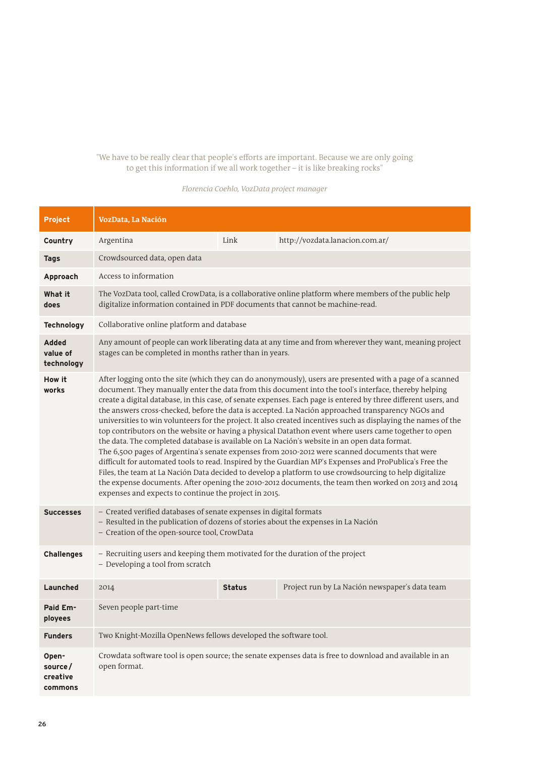#### "We have to be really clear that people's efforts are important. Because we are only going to get this information if we all work together – it is like breaking rocks"

# *Florencia Coehlo, VozData project manager*

| Project                                 | VozData, La Nación                                                                                                                                                                                                                                                                                                                                                                                                                                                                                                                                                                                                                                                                                                                                                                                                                                                                                                                                                                                                                                                                                                                                                                                                                                            |               |                                                |  |  |
|-----------------------------------------|---------------------------------------------------------------------------------------------------------------------------------------------------------------------------------------------------------------------------------------------------------------------------------------------------------------------------------------------------------------------------------------------------------------------------------------------------------------------------------------------------------------------------------------------------------------------------------------------------------------------------------------------------------------------------------------------------------------------------------------------------------------------------------------------------------------------------------------------------------------------------------------------------------------------------------------------------------------------------------------------------------------------------------------------------------------------------------------------------------------------------------------------------------------------------------------------------------------------------------------------------------------|---------------|------------------------------------------------|--|--|
| Country                                 | Argentina                                                                                                                                                                                                                                                                                                                                                                                                                                                                                                                                                                                                                                                                                                                                                                                                                                                                                                                                                                                                                                                                                                                                                                                                                                                     | Link          | http://vozdata.lanacion.com.ar/                |  |  |
| <b>Tags</b>                             | Crowdsourced data, open data                                                                                                                                                                                                                                                                                                                                                                                                                                                                                                                                                                                                                                                                                                                                                                                                                                                                                                                                                                                                                                                                                                                                                                                                                                  |               |                                                |  |  |
| Approach                                | Access to information                                                                                                                                                                                                                                                                                                                                                                                                                                                                                                                                                                                                                                                                                                                                                                                                                                                                                                                                                                                                                                                                                                                                                                                                                                         |               |                                                |  |  |
| What it<br>does                         | The VozData tool, called CrowData, is a collaborative online platform where members of the public help<br>digitalize information contained in PDF documents that cannot be machine-read.                                                                                                                                                                                                                                                                                                                                                                                                                                                                                                                                                                                                                                                                                                                                                                                                                                                                                                                                                                                                                                                                      |               |                                                |  |  |
| <b>Technology</b>                       | Collaborative online platform and database                                                                                                                                                                                                                                                                                                                                                                                                                                                                                                                                                                                                                                                                                                                                                                                                                                                                                                                                                                                                                                                                                                                                                                                                                    |               |                                                |  |  |
| <b>Added</b><br>value of<br>technology  | Any amount of people can work liberating data at any time and from wherever they want, meaning project<br>stages can be completed in months rather than in years.                                                                                                                                                                                                                                                                                                                                                                                                                                                                                                                                                                                                                                                                                                                                                                                                                                                                                                                                                                                                                                                                                             |               |                                                |  |  |
| How it<br>works                         | After logging onto the site (which they can do anonymously), users are presented with a page of a scanned<br>document. They manually enter the data from this document into the tool's interface, thereby helping<br>create a digital database, in this case, of senate expenses. Each page is entered by three different users, and<br>the answers cross-checked, before the data is accepted. La Nación approached transparency NGOs and<br>universities to win volunteers for the project. It also created incentives such as displaying the names of the<br>top contributors on the website or having a physical Datathon event where users came together to open<br>the data. The completed database is available on La Nación's website in an open data format.<br>The 6,500 pages of Argentina's senate expenses from 2010-2012 were scanned documents that were<br>difficult for automated tools to read. Inspired by the Guardian MP's Expenses and ProPublica's Free the<br>Files, the team at La Nación Data decided to develop a platform to use crowdsourcing to help digitalize<br>the expense documents. After opening the 2010-2012 documents, the team then worked on 2013 and 2014<br>expenses and expects to continue the project in 2015. |               |                                                |  |  |
| <b>Successes</b>                        | - Created verified databases of senate expenses in digital formats<br>- Resulted in the publication of dozens of stories about the expenses in La Nación<br>- Creation of the open-source tool, CrowData                                                                                                                                                                                                                                                                                                                                                                                                                                                                                                                                                                                                                                                                                                                                                                                                                                                                                                                                                                                                                                                      |               |                                                |  |  |
| <b>Challenges</b>                       | - Recruiting users and keeping them motivated for the duration of the project<br>- Developing a tool from scratch                                                                                                                                                                                                                                                                                                                                                                                                                                                                                                                                                                                                                                                                                                                                                                                                                                                                                                                                                                                                                                                                                                                                             |               |                                                |  |  |
| <b>Launched</b>                         | 2014                                                                                                                                                                                                                                                                                                                                                                                                                                                                                                                                                                                                                                                                                                                                                                                                                                                                                                                                                                                                                                                                                                                                                                                                                                                          | <b>Status</b> | Project run by La Nación newspaper's data team |  |  |
| Paid Em-<br>ployees                     | Seven people part-time                                                                                                                                                                                                                                                                                                                                                                                                                                                                                                                                                                                                                                                                                                                                                                                                                                                                                                                                                                                                                                                                                                                                                                                                                                        |               |                                                |  |  |
| <b>Funders</b>                          | Two Knight-Mozilla OpenNews fellows developed the software tool.                                                                                                                                                                                                                                                                                                                                                                                                                                                                                                                                                                                                                                                                                                                                                                                                                                                                                                                                                                                                                                                                                                                                                                                              |               |                                                |  |  |
| Open-<br>source/<br>creative<br>commons | Crowdata software tool is open source; the senate expenses data is free to download and available in an<br>open format.                                                                                                                                                                                                                                                                                                                                                                                                                                                                                                                                                                                                                                                                                                                                                                                                                                                                                                                                                                                                                                                                                                                                       |               |                                                |  |  |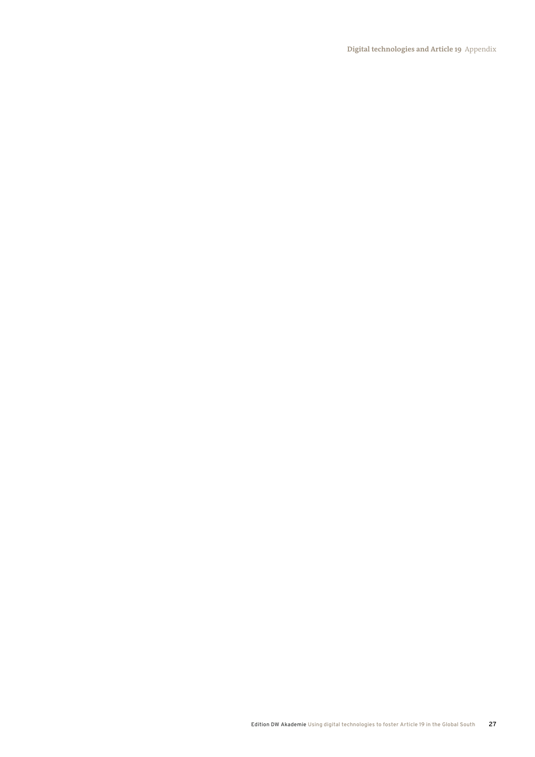**Digital technologies and Article 19** Appendix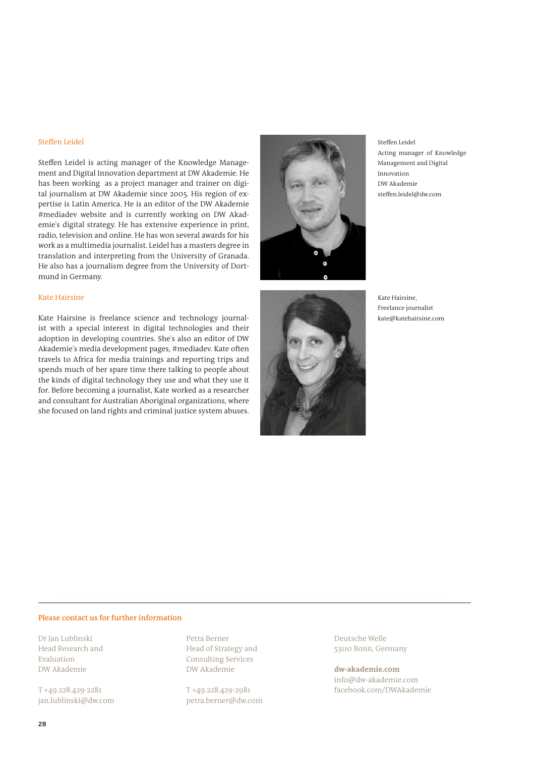#### Steffen Leidel

Steffen Leidel is acting manager of the Knowledge Management and Digital Innovation department at DW Akademie. He has been working as a project manager and trainer on digital journalism at DW Akademie since 2005. His region of expertise is Latin America. He is an editor of the DW Akademie #mediadev website and is currently working on DW Akademie's digital strategy. He has extensive experience in print, radio, television and online. He has won several awards for his work as a multimedia journalist. Leidel has a masters degree in translation and interpreting from the University of Granada. He also has a journalism degree from the University of Dortmund in Germany.

#### Kate Hairsine

Kate Hairsine is freelance science and technology journalist with a special interest in digital technologies and their adoption in developing countries. She's also an editor of DW Akademie's media development pages, #mediadev. Kate often travels to Africa for media trainings and reporting trips and spends much of her spare time there talking to people about the kinds of digital technology they use and what they use it for. Before becoming a journalist, Kate worked as a researcher and consultant for Australian Aboriginal organizations, where she focused on land rights and criminal justice system abuses.



Steffen Leidel Acting manager of Knowledge Management and Digital Innovation DW Akademie steffen.leidel@dw.com

Kate Hairsine, Freelance journalist kate@katehairsine.com

#### **Please contact us for further information**

Dr Jan Lublinski Head Research and Evaluation DW Akademie

T +49.228.429-2281 jan.lublinski@dw.com Petra Berner Head of Strategy and Consulting Services DW Akademie

T +49.228.429-2981 petra.berner@dw.com Deutsche Welle 53110 Bonn, Germany

**dw-akademie.com**  info@dw-akademie.com facebook.com/DWAkademie